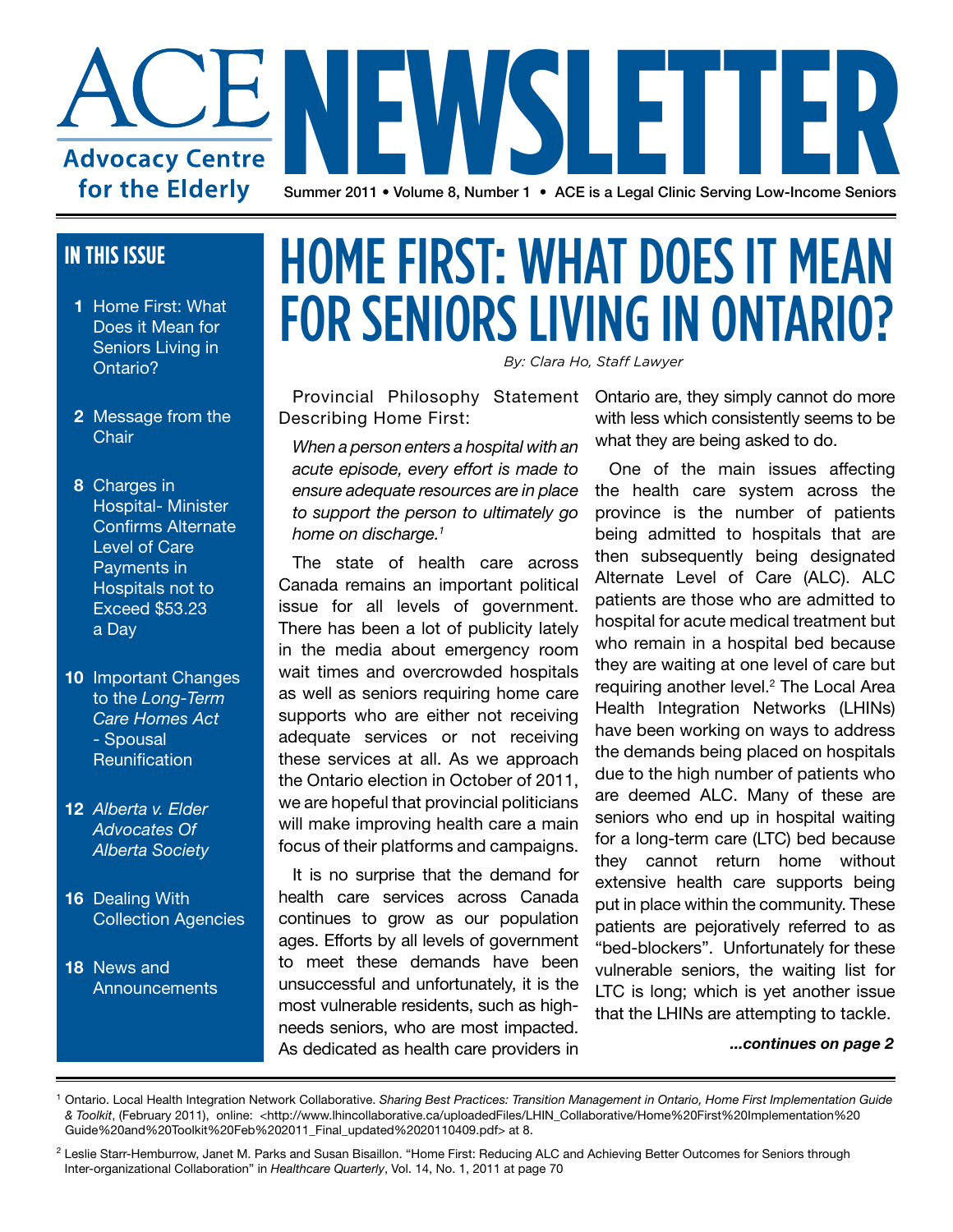

#### **IN THIS ISSUE**

- **1** Home First: What Does it Mean for Seniors Living in Ontario?
- **2** Message from the **Chair**

 **8** Charges in Hospital- Minister Confirms Alternate Level of Care Payments in Hospitals not to Exceed \$53.23 a Day

- **10** Important Changes to the *Long-Term Care Homes Act* - Spousal **Reunification**
- **12** *Alberta v. Elder Advocates Of Alberta Society*
- **16** Dealing With Collection Agencies
- **18** News and **Announcements**

### HOME FIRST: WHAT DOES IT MEAN FOR SENIORS LIVING IN ONTARIO?

*By: Clara Ho, Staff Lawyer* 

Provincial Philosophy Statement Describing Home First:

*When a person enters a hospital with an acute episode, every effort is made to ensure adequate resources are in place to support the person to ultimately go home on discharge.1*

The state of health care across Canada remains an important political issue for all levels of government. There has been a lot of publicity lately in the media about emergency room wait times and overcrowded hospitals as well as seniors requiring home care supports who are either not receiving adequate services or not receiving these services at all. As we approach the Ontario election in October of 2011, we are hopeful that provincial politicians will make improving health care a main focus of their platforms and campaigns.

It is no surprise that the demand for health care services across Canada continues to grow as our population ages. Efforts by all levels of government to meet these demands have been unsuccessful and unfortunately, it is the most vulnerable residents, such as highneeds seniors, who are most impacted. As dedicated as health care providers in

Ontario are, they simply cannot do more with less which consistently seems to be what they are being asked to do.

One of the main issues affecting the health care system across the province is the number of patients being admitted to hospitals that are then subsequently being designated Alternate Level of Care (ALC). ALC patients are those who are admitted to hospital for acute medical treatment but who remain in a hospital bed because they are waiting at one level of care but requiring another level.<sup>2</sup> The Local Area Health Integration Networks (LHINs) have been working on ways to address the demands being placed on hospitals due to the high number of patients who are deemed ALC. Many of these are seniors who end up in hospital waiting for a long-term care (LTC) bed because they cannot return home without extensive health care supports being put in place within the community. These patients are pejoratively referred to as "bed-blockers". Unfortunately for these vulnerable seniors, the waiting list for LTC is long; which is yet another issue that the LHINs are attempting to tackle.

*...continues on page 2*

<sup>1</sup> Ontario. Local Health Integration Network Collaborative. *Sharing Best Practices: Transition Management in Ontario, Home First Implementation Guide & Toolkit*, (February 2011), online: <http://www.lhincollaborative.ca/uploadedFiles/LHIN\_Collaborative/Home%20First%20Implementation%20 Guide%20and%20Toolkit%20Feb%202011\_Final\_updated%2020110409.pdf> at 8.

<sup>&</sup>lt;sup>2</sup> Leslie Starr-Hemburrow, Janet M. Parks and Susan Bisaillon. "Home First: Reducing ALC and Achieving Better Outcomes for Seniors through Inter-organizational Collaboration" in *Healthcare Quarterly*, Vol. 14, No. 1, 2011 at page 70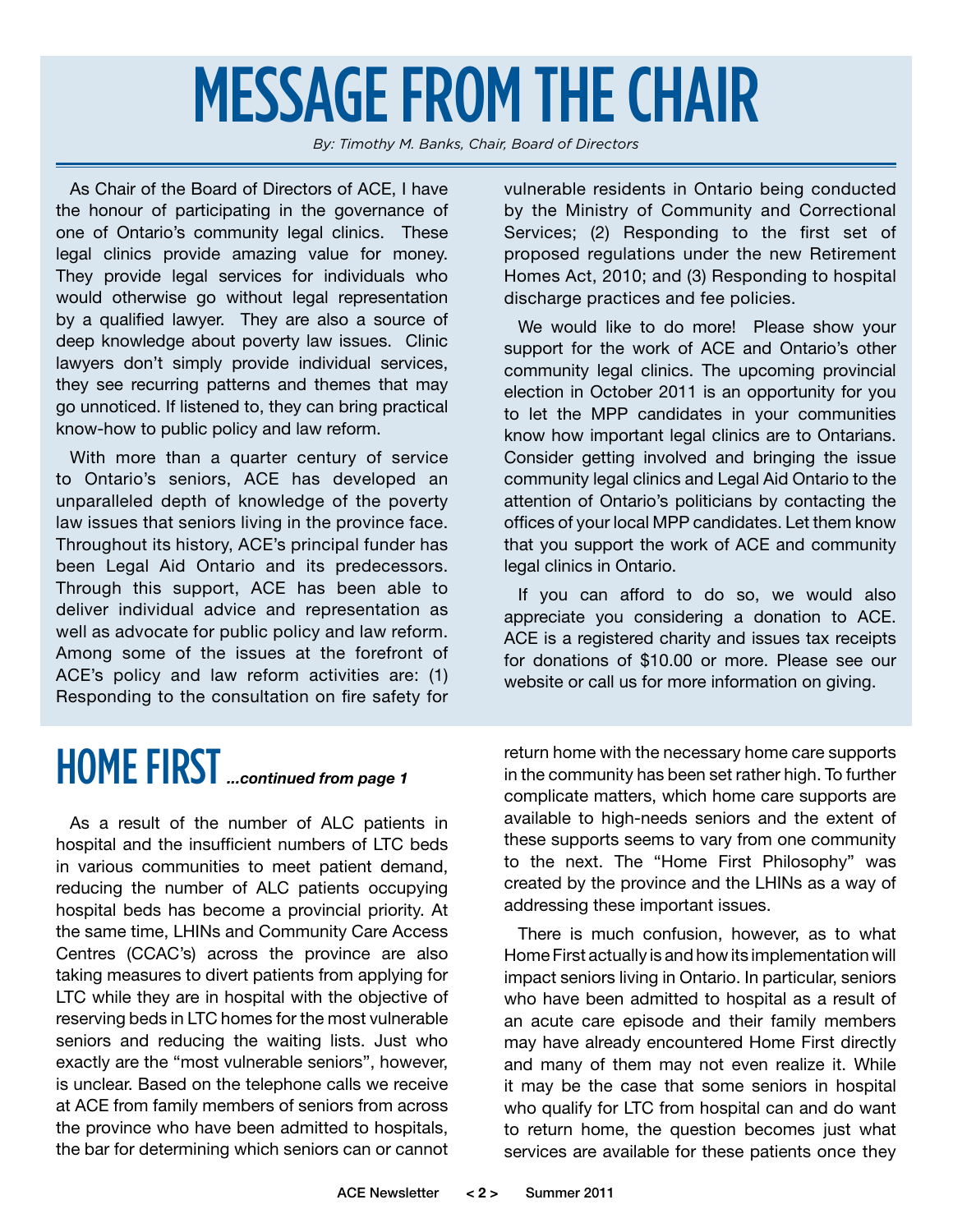## MESSAGE FROM THE CHAIR

*By: Timothy M. Banks, Chair, Board of Directors*

As Chair of the Board of Directors of ACE, I have the honour of participating in the governance of one of Ontario's community legal clinics. These legal clinics provide amazing value for money. They provide legal services for individuals who would otherwise go without legal representation by a qualified lawyer. They are also a source of deep knowledge about poverty law issues. Clinic lawyers don't simply provide individual services, they see recurring patterns and themes that may go unnoticed. If listened to, they can bring practical know-how to public policy and law reform.

With more than a quarter century of service to Ontario's seniors, ACE has developed an unparalleled depth of knowledge of the poverty law issues that seniors living in the province face. Throughout its history, ACE's principal funder has been Legal Aid Ontario and its predecessors. Through this support, ACE has been able to deliver individual advice and representation as well as advocate for public policy and law reform. Among some of the issues at the forefront of ACE's policy and law reform activities are: (1) Responding to the consultation on fire safety for

vulnerable residents in Ontario being conducted by the Ministry of Community and Correctional Services; (2) Responding to the first set of proposed regulations under the new Retirement Homes Act, 2010; and (3) Responding to hospital discharge practices and fee policies.

We would like to do more! Please show your support for the work of ACE and Ontario's other community legal clinics. The upcoming provincial election in October 2011 is an opportunity for you to let the MPP candidates in your communities know how important legal clinics are to Ontarians. Consider getting involved and bringing the issue community legal clinics and Legal Aid Ontario to the attention of Ontario's politicians by contacting the offices of your local MPP candidates. Let them know that you support the work of ACE and community legal clinics in Ontario.

If you can afford to do so, we would also appreciate you considering a donation to ACE. ACE is a registered charity and issues tax receipts for donations of \$10.00 or more. Please see our website or call us for more information on giving.

### HOME FIRST*...continued from page 1*

As a result of the number of ALC patients in hospital and the insufficient numbers of LTC beds in various communities to meet patient demand, reducing the number of ALC patients occupying hospital beds has become a provincial priority. At the same time, LHINs and Community Care Access Centres (CCAC's) across the province are also taking measures to divert patients from applying for LTC while they are in hospital with the objective of reserving beds in LTC homes for the most vulnerable seniors and reducing the waiting lists. Just who exactly are the "most vulnerable seniors", however, is unclear. Based on the telephone calls we receive at ACE from family members of seniors from across the province who have been admitted to hospitals, the bar for determining which seniors can or cannot

return home with the necessary home care supports in the community has been set rather high. To further complicate matters, which home care supports are available to high-needs seniors and the extent of these supports seems to vary from one community to the next. The "Home First Philosophy" was created by the province and the LHINs as a way of addressing these important issues.

There is much confusion, however, as to what Home First actually is and how its implementation will impact seniors living in Ontario. In particular, seniors who have been admitted to hospital as a result of an acute care episode and their family members may have already encountered Home First directly and many of them may not even realize it. While it may be the case that some seniors in hospital who qualify for LTC from hospital can and do want to return home, the question becomes just what services are available for these patients once they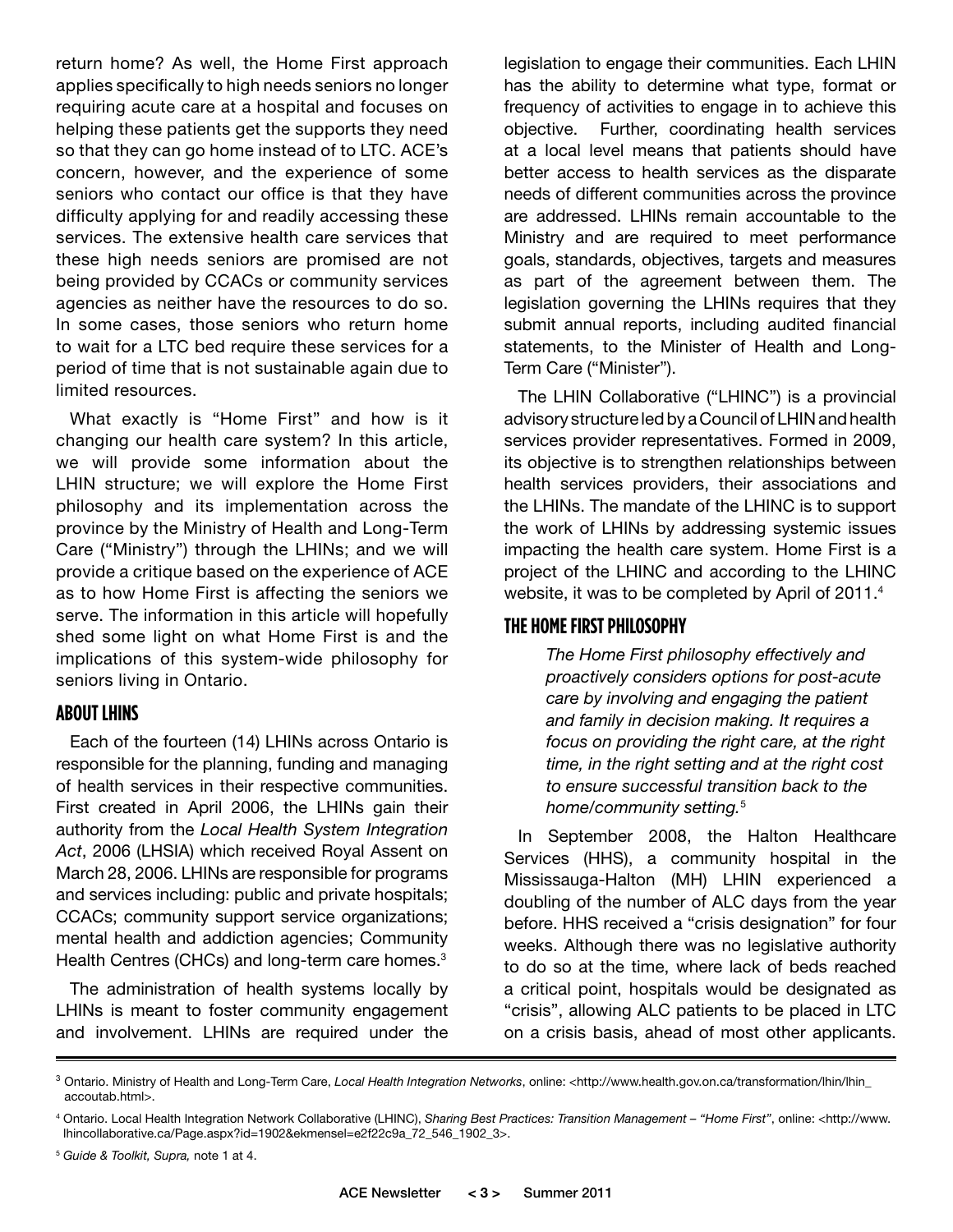return home? As well, the Home First approach applies specifically to high needs seniors no longer requiring acute care at a hospital and focuses on helping these patients get the supports they need so that they can go home instead of to LTC. ACE's concern, however, and the experience of some seniors who contact our office is that they have difficulty applying for and readily accessing these services. The extensive health care services that these high needs seniors are promised are not being provided by CCACs or community services agencies as neither have the resources to do so. In some cases, those seniors who return home to wait for a LTC bed require these services for a period of time that is not sustainable again due to limited resources.

What exactly is "Home First" and how is it changing our health care system? In this article, we will provide some information about the LHIN structure; we will explore the Home First philosophy and its implementation across the province by the Ministry of Health and Long-Term Care ("Ministry") through the LHINs; and we will provide a critique based on the experience of ACE as to how Home First is affecting the seniors we serve. The information in this article will hopefully shed some light on what Home First is and the implications of this system-wide philosophy for seniors living in Ontario.

#### **About LHINs**

Each of the fourteen (14) LHINs across Ontario is responsible for the planning, funding and managing of health services in their respective communities. First created in April 2006, the LHINs gain their authority from the *Local Health System Integration Act*, 2006 (LHSIA) which received Royal Assent on March 28, 2006. LHINs are responsible for programs and services including: public and private hospitals; CCACs; community support service organizations; mental health and addiction agencies; Community Health Centres (CHCs) and long-term care homes.<sup>3</sup>

The administration of health systems locally by LHINs is meant to foster community engagement and involvement. LHINs are required under the legislation to engage their communities. Each LHIN has the ability to determine what type, format or frequency of activities to engage in to achieve this objective. Further, coordinating health services at a local level means that patients should have better access to health services as the disparate needs of different communities across the province are addressed. LHINs remain accountable to the Ministry and are required to meet performance goals, standards, objectives, targets and measures as part of the agreement between them. The legislation governing the LHINs requires that they submit annual reports, including audited financial statements, to the Minister of Health and Long-Term Care ("Minister").

The LHIN Collaborative ("LHINC") is a provincial advisory structure led by a Council of LHIN and health services provider representatives. Formed in 2009, its objective is to strengthen relationships between health services providers, their associations and the LHINs. The mandate of the LHINC is to support the work of LHINs by addressing systemic issues impacting the health care system. Home First is a project of the LHINC and according to the LHINC website, it was to be completed by April of 2011.<sup>4</sup>

#### **The Home First Philosophy**

*The Home First philosophy effectively and proactively considers options for post-acute care by involving and engaging the patient and family in decision making. It requires a focus on providing the right care, at the right time, in the right setting and at the right cost to ensure successful transition back to the home/community setting.*<sup>5</sup> 

In September 2008, the Halton Healthcare Services (HHS), a community hospital in the Mississauga-Halton (MH) LHIN experienced a doubling of the number of ALC days from the year before. HHS received a "crisis designation" for four weeks. Although there was no legislative authority to do so at the time, where lack of beds reached a critical point, hospitals would be designated as "crisis", allowing ALC patients to be placed in LTC on a crisis basis, ahead of most other applicants.

<sup>3</sup> Ontario. Ministry of Health and Long-Term Care, *Local Health Integration Networks*, online: <http://www.health.gov.on.ca/transformation/lhin/lhin\_ accoutab.html>.

<sup>4</sup> Ontario. Local Health Integration Network Collaborative (LHINC), *Sharing Best Practices: Transition Management – "Home First"*, online: <http://www. lhincollaborative.ca/Page.aspx?id=1902&ekmensel=e2f22c9a\_72\_546\_1902\_3>.

<sup>5</sup> *Guide & Toolkit, Supra,* note 1 at 4.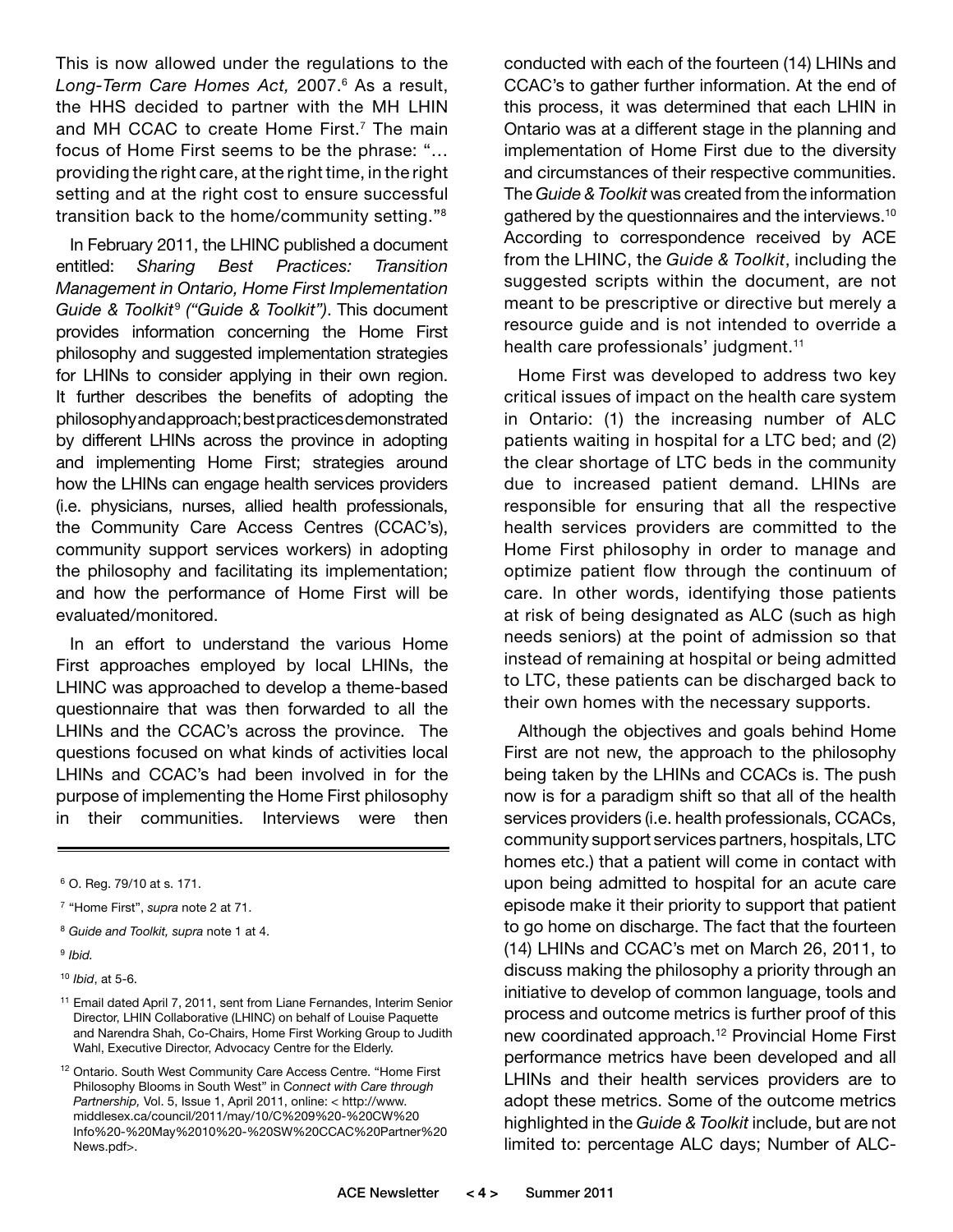This is now allowed under the regulations to the *Long-Term Care Homes Act,* 2007.6 As a result, the HHS decided to partner with the MH LHIN and MH CCAC to create Home First.<sup>7</sup> The main focus of Home First seems to be the phrase: "… providing the right care, at the right time, in the right setting and at the right cost to ensure successful transition back to the home/community setting."8

In February 2011, the LHINC published a document entitled: *Sharing Best Practices: Transition Management in Ontario, Home First Implementation Guide & Toolkit*<sup>9</sup> *("Guide & Toolkit")*. This document provides information concerning the Home First philosophy and suggested implementation strategies for LHINs to consider applying in their own region. It further describes the benefits of adopting the philosophy and approach; best practices demonstrated by different LHINs across the province in adopting and implementing Home First; strategies around how the LHINs can engage health services providers (i.e. physicians, nurses, allied health professionals, the Community Care Access Centres (CCAC's), community support services workers) in adopting the philosophy and facilitating its implementation; and how the performance of Home First will be evaluated/monitored.

In an effort to understand the various Home First approaches employed by local LHINs, the LHINC was approached to develop a theme-based questionnaire that was then forwarded to all the LHINs and the CCAC's across the province. The questions focused on what kinds of activities local LHINs and CCAC's had been involved in for the purpose of implementing the Home First philosophy in their communities. Interviews were then

<sup>9</sup> *Ibid.*

conducted with each of the fourteen (14) LHINs and CCAC's to gather further information. At the end of this process, it was determined that each LHIN in Ontario was at a different stage in the planning and implementation of Home First due to the diversity and circumstances of their respective communities. The *Guide & Toolkit* was created from the information gathered by the questionnaires and the interviews.10 According to correspondence received by ACE from the LHINC, the *Guide & Toolkit*, including the suggested scripts within the document, are not meant to be prescriptive or directive but merely a resource guide and is not intended to override a health care professionals' judgment.<sup>11</sup>

Home First was developed to address two key critical issues of impact on the health care system in Ontario: (1) the increasing number of ALC patients waiting in hospital for a LTC bed; and (2) the clear shortage of LTC beds in the community due to increased patient demand. LHINs are responsible for ensuring that all the respective health services providers are committed to the Home First philosophy in order to manage and optimize patient flow through the continuum of care. In other words, identifying those patients at risk of being designated as ALC (such as high needs seniors) at the point of admission so that instead of remaining at hospital or being admitted to LTC, these patients can be discharged back to their own homes with the necessary supports.

Although the objectives and goals behind Home First are not new, the approach to the philosophy being taken by the LHINs and CCACs is. The push now is for a paradigm shift so that all of the health services providers (i.e. health professionals, CCACs, community support services partners, hospitals, LTC homes etc.) that a patient will come in contact with upon being admitted to hospital for an acute care episode make it their priority to support that patient to go home on discharge. The fact that the fourteen (14) LHINs and CCAC's met on March 26, 2011, to discuss making the philosophy a priority through an initiative to develop of common language, tools and process and outcome metrics is further proof of this new coordinated approach.12 Provincial Home First performance metrics have been developed and all LHINs and their health services providers are to adopt these metrics. Some of the outcome metrics highlighted in the *Guide & Toolkit* include, but are not limited to: percentage ALC days; Number of ALC-

<sup>6</sup> O. Reg. 79/10 at s. 171.

<sup>7</sup> "Home First", *supra* note 2 at 71.

<sup>8</sup> *Guide and Toolkit, supra* note 1 at 4.

<sup>10</sup> *Ibid*, at 5-6.

<sup>&</sup>lt;sup>11</sup> Email dated April 7, 2011, sent from Liane Fernandes, Interim Senior Director, LHIN Collaborative (LHINC) on behalf of Louise Paquette and Narendra Shah, Co-Chairs, Home First Working Group to Judith Wahl, Executive Director, Advocacy Centre for the Elderly.

<sup>&</sup>lt;sup>12</sup> Ontario. South West Community Care Access Centre. "Home First Philosophy Blooms in South West" in C*onnect with Care through Partnership,* Vol. 5, Issue 1, April 2011, online: < http://www. middlesex.ca/council/2011/may/10/C%209%20-%20CW%20 Info%20-%20May%2010%20-%20SW%20CCAC%20Partner%20 News.pdf>.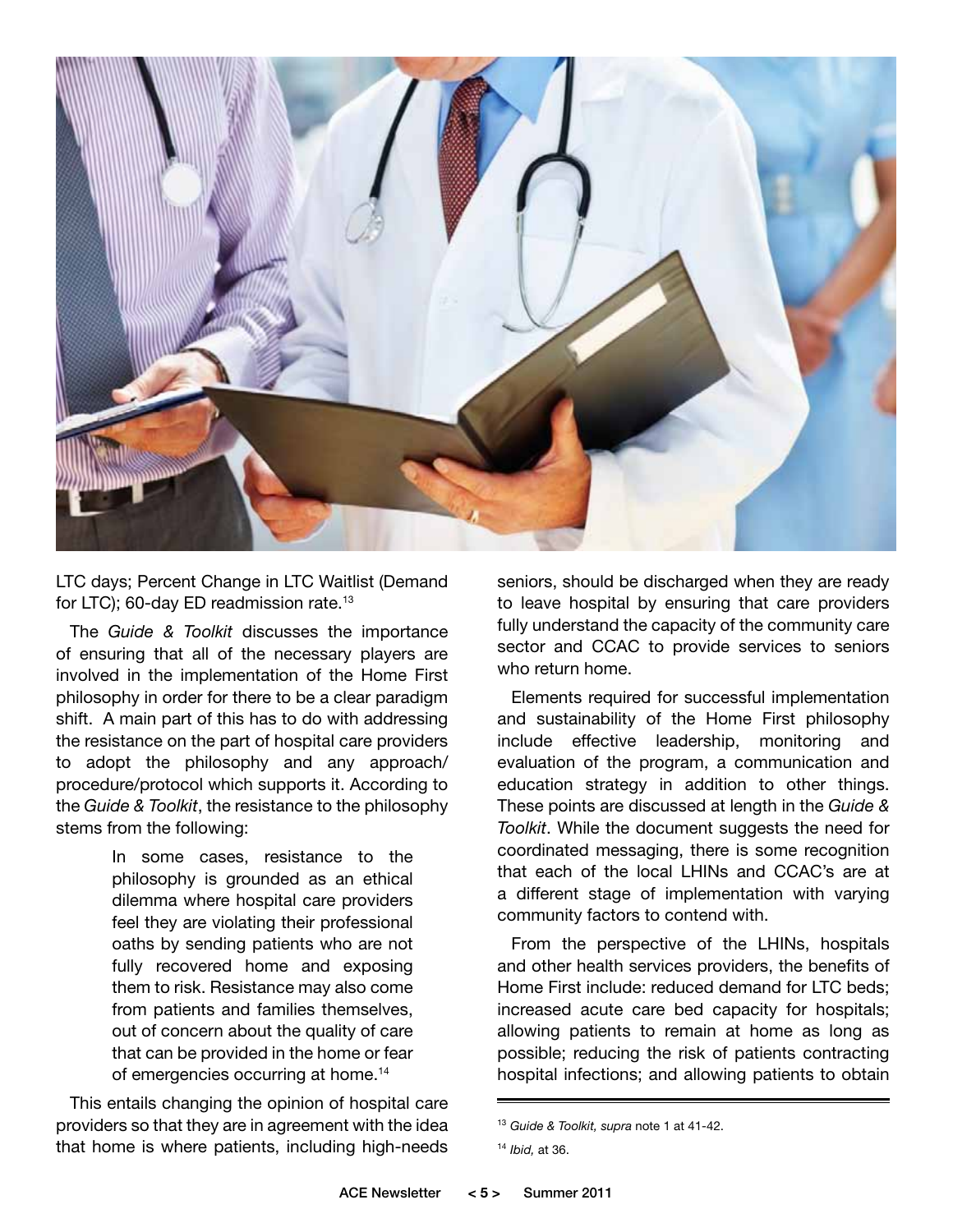

LTC days; Percent Change in LTC Waitlist (Demand for LTC); 60-day ED readmission rate.13

The *Guide & Toolkit* discusses the importance of ensuring that all of the necessary players are involved in the implementation of the Home First philosophy in order for there to be a clear paradigm shift. A main part of this has to do with addressing the resistance on the part of hospital care providers to adopt the philosophy and any approach/ procedure/protocol which supports it. According to the *Guide & Toolkit*, the resistance to the philosophy stems from the following:

> In some cases, resistance to the philosophy is grounded as an ethical dilemma where hospital care providers feel they are violating their professional oaths by sending patients who are not fully recovered home and exposing them to risk. Resistance may also come from patients and families themselves, out of concern about the quality of care that can be provided in the home or fear of emergencies occurring at home.<sup>14</sup>

This entails changing the opinion of hospital care providers so that they are in agreement with the idea that home is where patients, including high-needs seniors, should be discharged when they are ready to leave hospital by ensuring that care providers fully understand the capacity of the community care sector and CCAC to provide services to seniors who return home.

Elements required for successful implementation and sustainability of the Home First philosophy include effective leadership, monitoring and evaluation of the program, a communication and education strategy in addition to other things. These points are discussed at length in the *Guide & Toolkit*. While the document suggests the need for coordinated messaging, there is some recognition that each of the local LHINs and CCAC's are at a different stage of implementation with varying community factors to contend with.

From the perspective of the LHINs, hospitals and other health services providers, the benefits of Home First include: reduced demand for LTC beds; increased acute care bed capacity for hospitals; allowing patients to remain at home as long as possible; reducing the risk of patients contracting hospital infections; and allowing patients to obtain

<sup>13</sup> *Guide & Toolkit, supra* note 1 at 41-42.

<sup>14</sup> *Ibid,* at 36.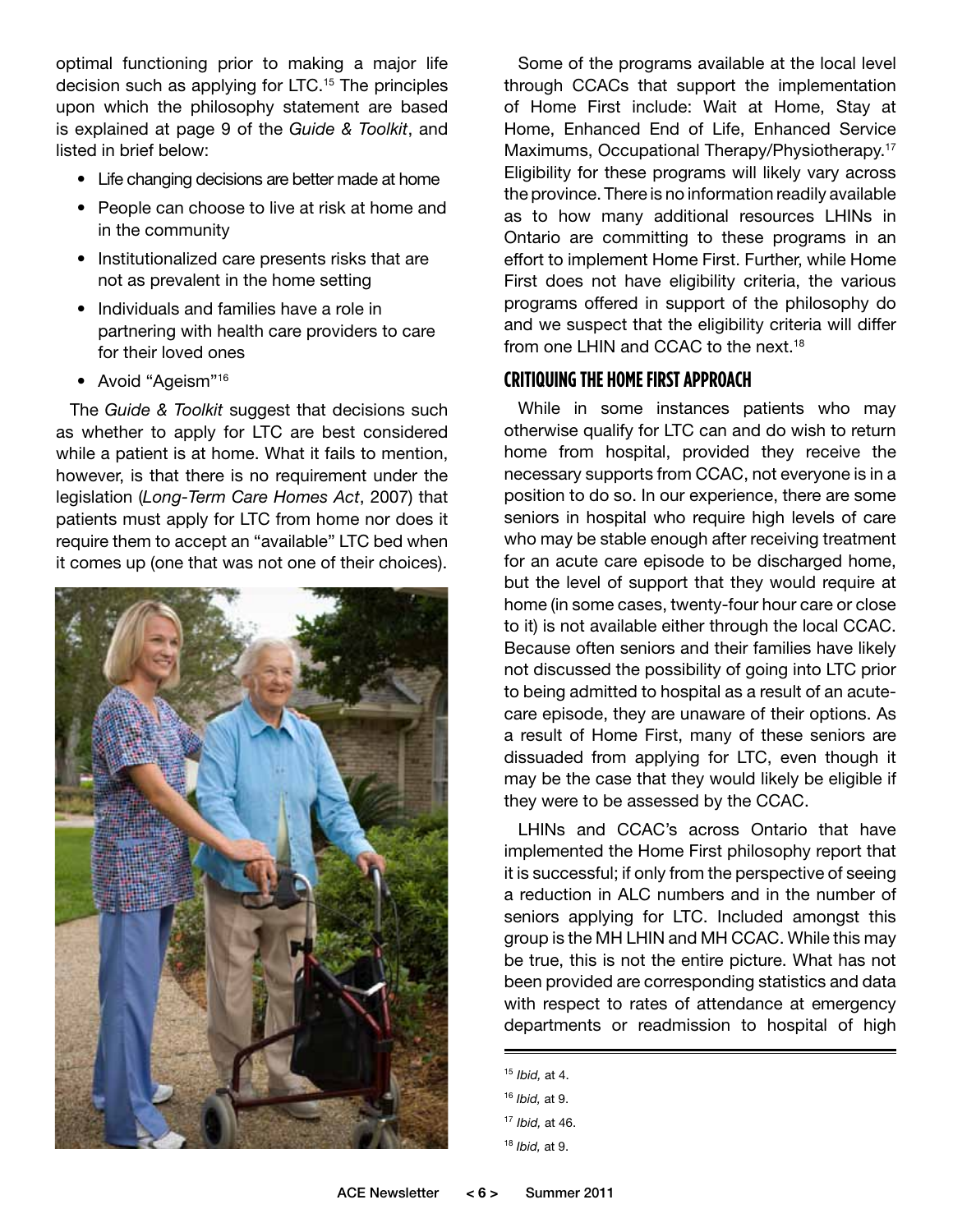optimal functioning prior to making a major life decision such as applying for LTC.<sup>15</sup> The principles upon which the philosophy statement are based is explained at page 9 of the *Guide & Toolkit*, and listed in brief below:

- Life changing decisions are better made at home
- People can choose to live at risk at home and in the community
- Institutionalized care presents risks that are not as prevalent in the home setting
- Individuals and families have a role in partnering with health care providers to care for their loved ones
- Avoid "Ageism"<sup>16</sup>

The *Guide & Toolkit* suggest that decisions such as whether to apply for LTC are best considered while a patient is at home. What it fails to mention, however, is that there is no requirement under the legislation (*Long-Term Care Homes Act*, 2007) that patients must apply for LTC from home nor does it require them to accept an "available" LTC bed when it comes up (one that was not one of their choices).



Some of the programs available at the local level through CCACs that support the implementation of Home First include: Wait at Home, Stay at Home, Enhanced End of Life, Enhanced Service Maximums, Occupational Therapy/Physiotherapy.<sup>17</sup> Eligibility for these programs will likely vary across the province. There is no information readily available as to how many additional resources LHINs in Ontario are committing to these programs in an effort to implement Home First. Further, while Home First does not have eligibility criteria, the various programs offered in support of the philosophy do and we suspect that the eligibility criteria will differ from one LHIN and CCAC to the next.18

#### **Critiquing the Home First Approach**

While in some instances patients who may otherwise qualify for LTC can and do wish to return home from hospital, provided they receive the necessary supports from CCAC, not everyone is in a position to do so. In our experience, there are some seniors in hospital who require high levels of care who may be stable enough after receiving treatment for an acute care episode to be discharged home, but the level of support that they would require at home (in some cases, twenty-four hour care or close to it) is not available either through the local CCAC. Because often seniors and their families have likely not discussed the possibility of going into LTC prior to being admitted to hospital as a result of an acutecare episode, they are unaware of their options. As a result of Home First, many of these seniors are dissuaded from applying for LTC, even though it may be the case that they would likely be eligible if they were to be assessed by the CCAC.

LHINs and CCAC's across Ontario that have implemented the Home First philosophy report that it is successful; if only from the perspective of seeing a reduction in ALC numbers and in the number of seniors applying for LTC. Included amongst this group is the MH LHIN and MH CCAC. While this may be true, this is not the entire picture. What has not been provided are corresponding statistics and data with respect to rates of attendance at emergency departments or readmission to hospital of high

<sup>15</sup> *Ibid,* at 4.

<sup>16</sup> *Ibid,* at 9.

<sup>17</sup> *Ibid,* at 46.

<sup>18</sup> *Ibid,* at 9.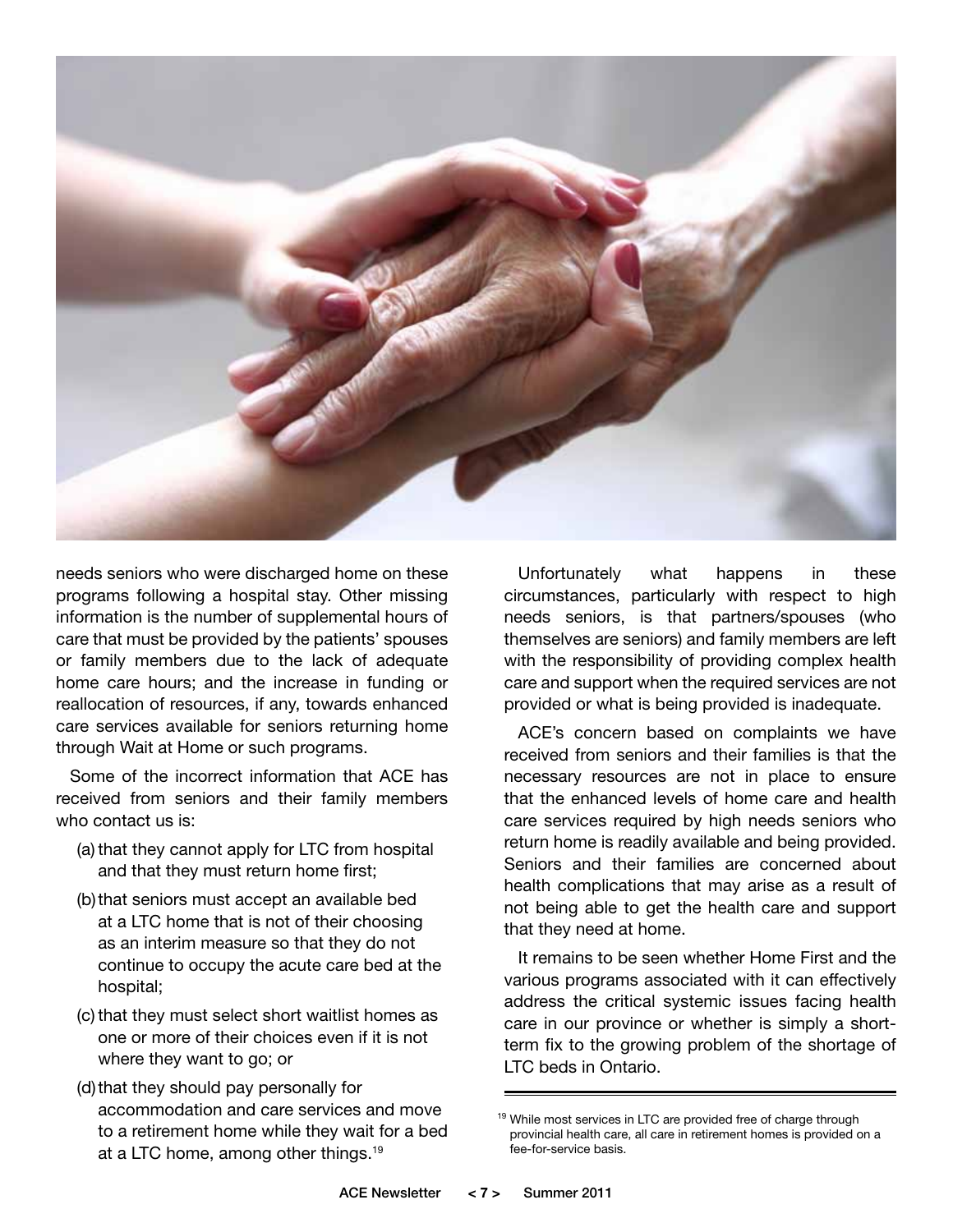

needs seniors who were discharged home on these programs following a hospital stay. Other missing information is the number of supplemental hours of care that must be provided by the patients' spouses or family members due to the lack of adequate home care hours; and the increase in funding or reallocation of resources, if any, towards enhanced care services available for seniors returning home through Wait at Home or such programs.

Some of the incorrect information that ACE has received from seniors and their family members who contact us is:

- (a) that they cannot apply for LTC from hospital and that they must return home first;
- (b) that seniors must accept an available bed at a LTC home that is not of their choosing as an interim measure so that they do not continue to occupy the acute care bed at the hospital;
- (c) that they must select short waitlist homes as one or more of their choices even if it is not where they want to go; or
- (d) that they should pay personally for accommodation and care services and move to a retirement home while they wait for a bed at a LTC home, among other things.19

Unfortunately what happens in these circumstances, particularly with respect to high needs seniors, is that partners/spouses (who themselves are seniors) and family members are left with the responsibility of providing complex health care and support when the required services are not provided or what is being provided is inadequate.

ACE's concern based on complaints we have received from seniors and their families is that the necessary resources are not in place to ensure that the enhanced levels of home care and health care services required by high needs seniors who return home is readily available and being provided. Seniors and their families are concerned about health complications that may arise as a result of not being able to get the health care and support that they need at home.

It remains to be seen whether Home First and the various programs associated with it can effectively address the critical systemic issues facing health care in our province or whether is simply a shortterm fix to the growing problem of the shortage of LTC beds in Ontario.

<sup>&</sup>lt;sup>19</sup> While most services in LTC are provided free of charge through provincial health care, all care in retirement homes is provided on a fee-for-service basis.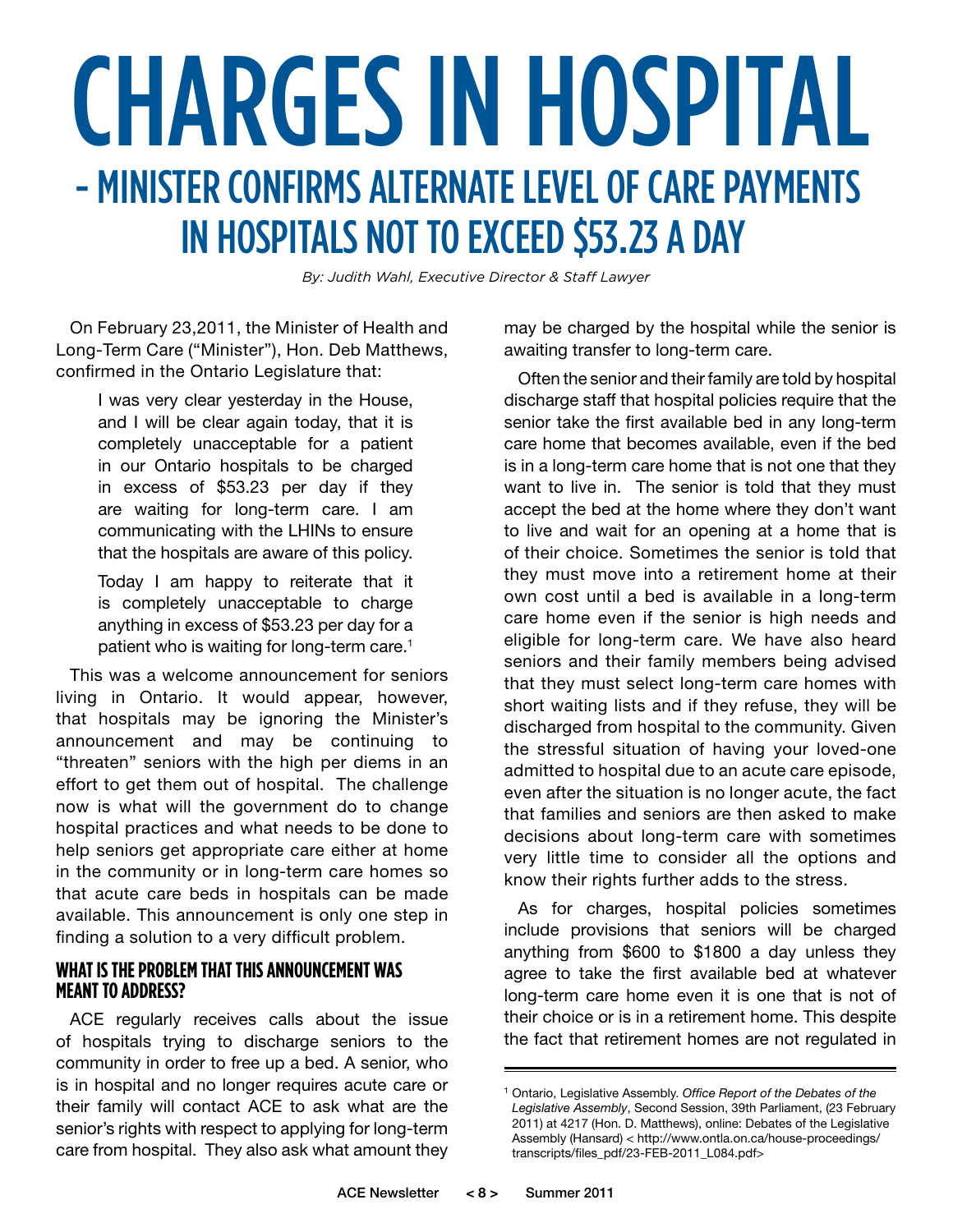### CHARGES IN HOSPITAL - MINISTER CONFIRMS ALTERNATE LEVEL OF CARE PAYMENTS IN HOSPITALS NOT TO EXCEED \$53.23 A DAY

*By: Judith Wahl, Executive Director & Staff Lawyer*

On February 23,2011, the Minister of Health and Long-Term Care ("Minister"), Hon. Deb Matthews, confirmed in the Ontario Legislature that:

> I was very clear yesterday in the House, and I will be clear again today, that it is completely unacceptable for a patient in our Ontario hospitals to be charged in excess of \$53.23 per day if they are waiting for long-term care. I am communicating with the LHINs to ensure that the hospitals are aware of this policy.

> Today I am happy to reiterate that it is completely unacceptable to charge anything in excess of \$53.23 per day for a patient who is waiting for long-term care.<sup>1</sup>

This was a welcome announcement for seniors living in Ontario. It would appear, however, that hospitals may be ignoring the Minister's announcement and may be continuing to "threaten" seniors with the high per diems in an effort to get them out of hospital. The challenge now is what will the government do to change hospital practices and what needs to be done to help seniors get appropriate care either at home in the community or in long-term care homes so that acute care beds in hospitals can be made available. This announcement is only one step in finding a solution to a very difficult problem.

#### **WHAT IS THE PROBLEM THAT THIS ANNOUNCEMENT WAS MEANT TO ADDRESS?**

ACE regularly receives calls about the issue of hospitals trying to discharge seniors to the community in order to free up a bed. A senior, who is in hospital and no longer requires acute care or their family will contact ACE to ask what are the senior's rights with respect to applying for long-term care from hospital. They also ask what amount they may be charged by the hospital while the senior is awaiting transfer to long-term care.

Often the senior and their family are told by hospital discharge staff that hospital policies require that the senior take the first available bed in any long-term care home that becomes available, even if the bed is in a long-term care home that is not one that they want to live in. The senior is told that they must accept the bed at the home where they don't want to live and wait for an opening at a home that is of their choice. Sometimes the senior is told that they must move into a retirement home at their own cost until a bed is available in a long-term care home even if the senior is high needs and eligible for long-term care. We have also heard seniors and their family members being advised that they must select long-term care homes with short waiting lists and if they refuse, they will be discharged from hospital to the community. Given the stressful situation of having your loved-one admitted to hospital due to an acute care episode, even after the situation is no longer acute, the fact that families and seniors are then asked to make decisions about long-term care with sometimes very little time to consider all the options and know their rights further adds to the stress.

As for charges, hospital policies sometimes include provisions that seniors will be charged anything from \$600 to \$1800 a day unless they agree to take the first available bed at whatever long-term care home even it is one that is not of their choice or is in a retirement home. This despite the fact that retirement homes are not regulated in

<sup>1</sup> Ontario, Legislative Assembly. *Office Report of the Debates of the Legislative Assembly*, Second Session, 39th Parliament, (23 February 2011) at 4217 (Hon. D. Matthews), online: Debates of the Legislative Assembly (Hansard) < http://www.ontla.on.ca/house-proceedings/ transcripts/files\_pdf/23-FEB-2011\_L084.pdf>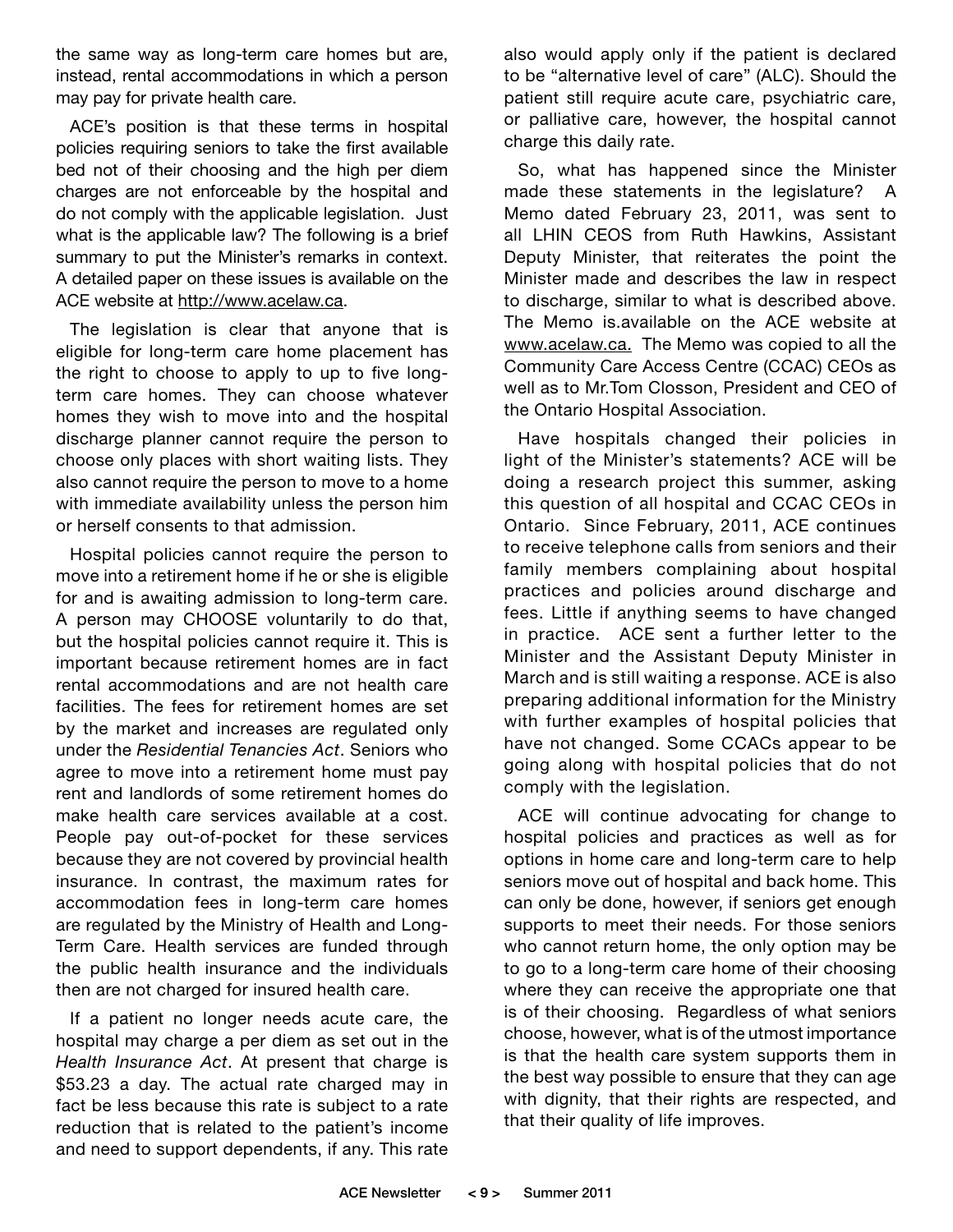the same way as long-term care homes but are, instead, rental accommodations in which a person may pay for private health care.

ACE's position is that these terms in hospital policies requiring seniors to take the first available bed not of their choosing and the high per diem charges are not enforceable by the hospital and do not comply with the applicable legislation. Just what is the applicable law? The following is a brief summary to put the Minister's remarks in context. A detailed paper on these issues is available on the ACE website at http://www.acelaw.ca.

The legislation is clear that anyone that is eligible for long-term care home placement has the right to choose to apply to up to five longterm care homes. They can choose whatever homes they wish to move into and the hospital discharge planner cannot require the person to choose only places with short waiting lists. They also cannot require the person to move to a home with immediate availability unless the person him or herself consents to that admission.

Hospital policies cannot require the person to move into a retirement home if he or she is eligible for and is awaiting admission to long-term care. A person may CHOOSE voluntarily to do that, but the hospital policies cannot require it. This is important because retirement homes are in fact rental accommodations and are not health care facilities. The fees for retirement homes are set by the market and increases are regulated only under the *Residential Tenancies Act*. Seniors who agree to move into a retirement home must pay rent and landlords of some retirement homes do make health care services available at a cost. People pay out-of-pocket for these services because they are not covered by provincial health insurance. In contrast, the maximum rates for accommodation fees in long-term care homes are regulated by the Ministry of Health and Long-Term Care. Health services are funded through the public health insurance and the individuals then are not charged for insured health care.

If a patient no longer needs acute care, the hospital may charge a per diem as set out in the *Health Insurance Act*. At present that charge is \$53.23 a day. The actual rate charged may in fact be less because this rate is subject to a rate reduction that is related to the patient's income and need to support dependents, if any. This rate

also would apply only if the patient is declared to be "alternative level of care" (ALC). Should the patient still require acute care, psychiatric care, or palliative care, however, the hospital cannot charge this daily rate.

So, what has happened since the Minister made these statements in the legislature? A Memo dated February 23, 2011, was sent to all LHIN CEOS from Ruth Hawkins, Assistant Deputy Minister, that reiterates the point the Minister made and describes the law in respect to discharge, similar to what is described above. The Memo is.available on the ACE website at www.acelaw.ca. The Memo was copied to all the Community Care Access Centre (CCAC) CEOs as well as to Mr.Tom Closson, President and CEO of the Ontario Hospital Association.

Have hospitals changed their policies in light of the Minister's statements? ACE will be doing a research project this summer, asking this question of all hospital and CCAC CEOs in Ontario. Since February, 2011, ACE continues to receive telephone calls from seniors and their family members complaining about hospital practices and policies around discharge and fees. Little if anything seems to have changed in practice. ACE sent a further letter to the Minister and the Assistant Deputy Minister in March and is still waiting a response. ACE is also preparing additional information for the Ministry with further examples of hospital policies that have not changed. Some CCACs appear to be going along with hospital policies that do not comply with the legislation.

ACE will continue advocating for change to hospital policies and practices as well as for options in home care and long-term care to help seniors move out of hospital and back home. This can only be done, however, if seniors get enough supports to meet their needs. For those seniors who cannot return home, the only option may be to go to a long-term care home of their choosing where they can receive the appropriate one that is of their choosing. Regardless of what seniors choose, however, what is of the utmost importance is that the health care system supports them in the best way possible to ensure that they can age with dignity, that their rights are respected, and that their quality of life improves.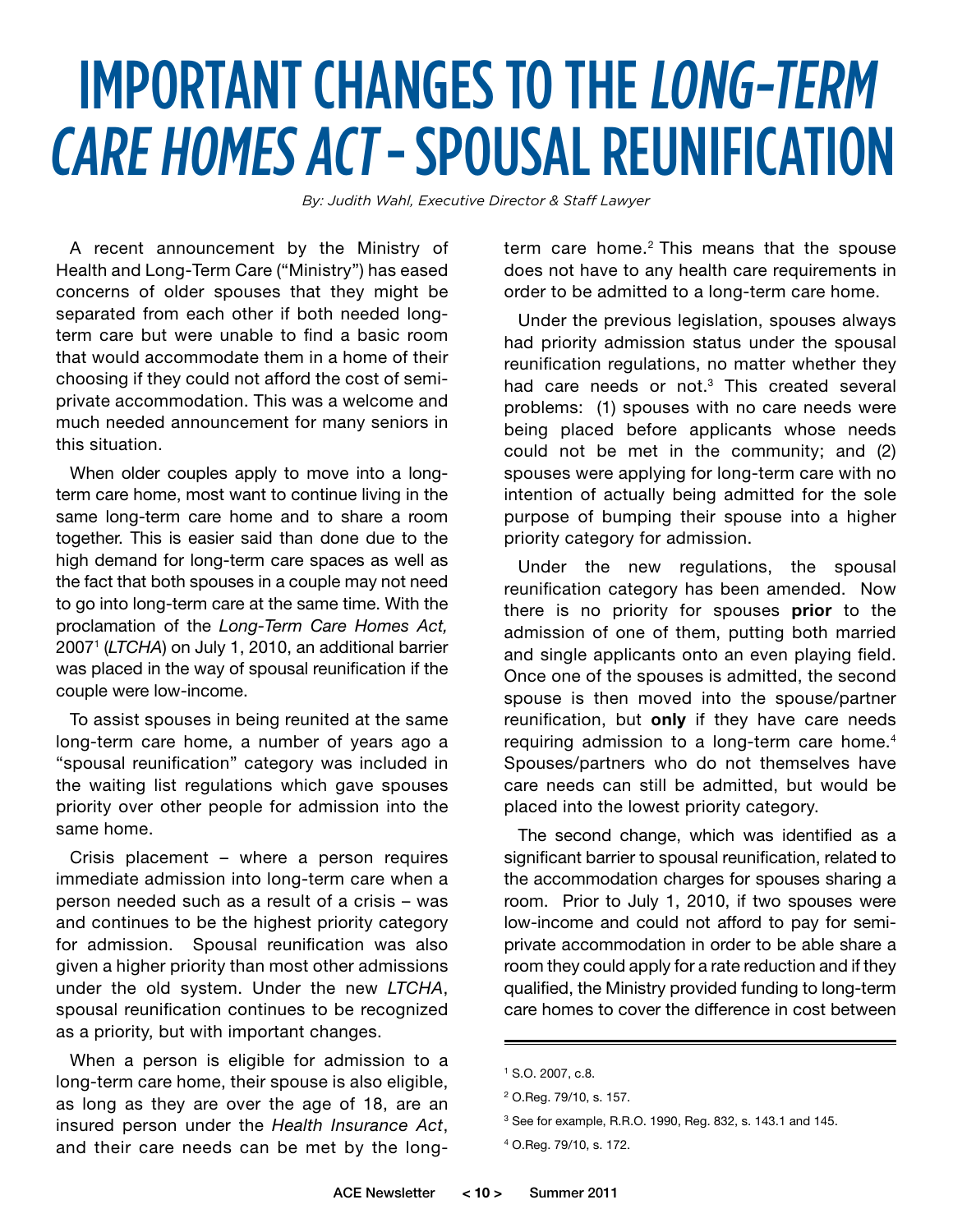### IMPORTANT CHANGES TO THE LONG-TERM CARE HOMES ACT - SPOUSAL REUNIFICATION

*By: Judith Wahl, Executive Director & Staff Lawyer*

A recent announcement by the Ministry of Health and Long-Term Care ("Ministry") has eased concerns of older spouses that they might be separated from each other if both needed longterm care but were unable to find a basic room that would accommodate them in a home of their choosing if they could not afford the cost of semiprivate accommodation. This was a welcome and much needed announcement for many seniors in this situation.

When older couples apply to move into a longterm care home, most want to continue living in the same long-term care home and to share a room together. This is easier said than done due to the high demand for long-term care spaces as well as the fact that both spouses in a couple may not need to go into long-term care at the same time. With the proclamation of the *Long-Term Care Homes Act,* 20071 (*LTCHA*) on July 1, 2010, an additional barrier was placed in the way of spousal reunification if the couple were low-income.

To assist spouses in being reunited at the same long-term care home, a number of years ago a "spousal reunification" category was included in the waiting list regulations which gave spouses priority over other people for admission into the same home.

Crisis placement – where a person requires immediate admission into long-term care when a person needed such as a result of a crisis – was and continues to be the highest priority category for admission. Spousal reunification was also given a higher priority than most other admissions under the old system. Under the new *LTCHA*, spousal reunification continues to be recognized as a priority, but with important changes.

When a person is eligible for admission to a long-term care home, their spouse is also eligible, as long as they are over the age of 18, are an insured person under the *Health Insurance Act*, and their care needs can be met by the longterm care home.<sup>2</sup> This means that the spouse does not have to any health care requirements in order to be admitted to a long-term care home.

Under the previous legislation, spouses always had priority admission status under the spousal reunification regulations, no matter whether they had care needs or not.<sup>3</sup> This created several problems: (1) spouses with no care needs were being placed before applicants whose needs could not be met in the community; and (2) spouses were applying for long-term care with no intention of actually being admitted for the sole purpose of bumping their spouse into a higher priority category for admission.

Under the new regulations, the spousal reunification category has been amended. Now there is no priority for spouses **prior** to the admission of one of them, putting both married and single applicants onto an even playing field. Once one of the spouses is admitted, the second spouse is then moved into the spouse/partner reunification, but **only** if they have care needs requiring admission to a long-term care home.<sup>4</sup> Spouses/partners who do not themselves have care needs can still be admitted, but would be placed into the lowest priority category.

The second change, which was identified as a significant barrier to spousal reunification, related to the accommodation charges for spouses sharing a room. Prior to July 1, 2010, if two spouses were low-income and could not afford to pay for semiprivate accommodation in order to be able share a room they could apply for a rate reduction and if they qualified, the Ministry provided funding to long-term care homes to cover the difference in cost between

<sup>1</sup> S.O. 2007, c.8.

<sup>2</sup> O.Reg. 79/10, s. 157.

<sup>3</sup> See for example, R.R.O. 1990, Reg. 832, s. 143.1 and 145.

<sup>4</sup> O.Reg. 79/10, s. 172.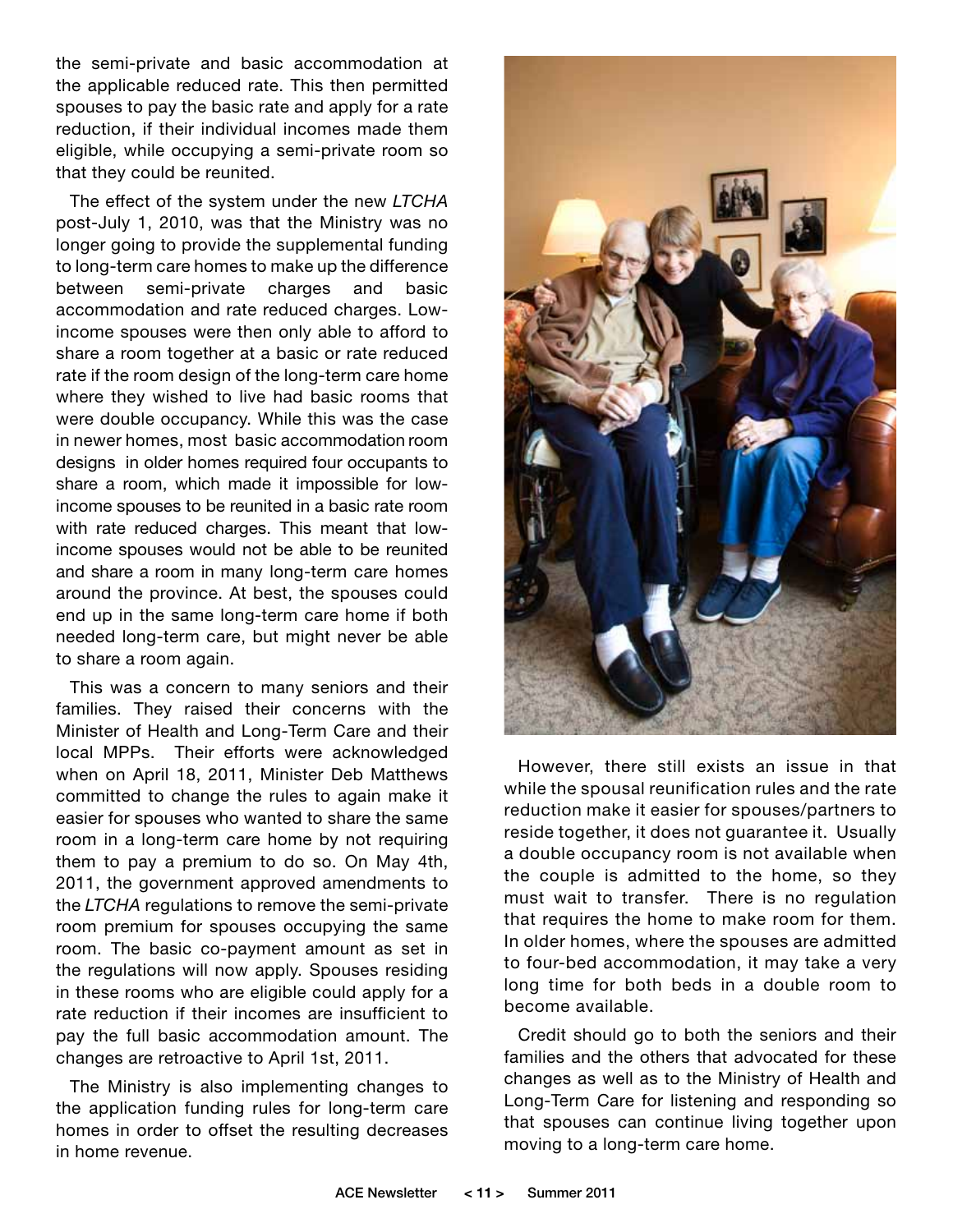the semi-private and basic accommodation at the applicable reduced rate. This then permitted spouses to pay the basic rate and apply for a rate reduction, if their individual incomes made them eligible, while occupying a semi-private room so that they could be reunited.

The effect of the system under the new *LTCHA* post-July 1, 2010, was that the Ministry was no longer going to provide the supplemental funding to long-term care homes to make up the difference between semi-private charges and basic accommodation and rate reduced charges. Lowincome spouses were then only able to afford to share a room together at a basic or rate reduced rate if the room design of the long-term care home where they wished to live had basic rooms that were double occupancy. While this was the case in newer homes, most basic accommodation room designs in older homes required four occupants to share a room, which made it impossible for lowincome spouses to be reunited in a basic rate room with rate reduced charges. This meant that lowincome spouses would not be able to be reunited and share a room in many long-term care homes around the province. At best, the spouses could end up in the same long-term care home if both needed long-term care, but might never be able to share a room again.

This was a concern to many seniors and their families. They raised their concerns with the Minister of Health and Long-Term Care and their local MPPs. Their efforts were acknowledged when on April 18, 2011, Minister Deb Matthews committed to change the rules to again make it easier for spouses who wanted to share the same room in a long-term care home by not requiring them to pay a premium to do so. On May 4th, 2011, the government approved amendments to the *LTCHA* regulations to remove the semi-private room premium for spouses occupying the same room. The basic co-payment amount as set in the regulations will now apply. Spouses residing in these rooms who are eligible could apply for a rate reduction if their incomes are insufficient to pay the full basic accommodation amount. The changes are retroactive to April 1st, 2011.

The Ministry is also implementing changes to the application funding rules for long-term care homes in order to offset the resulting decreases in home revenue.



However, there still exists an issue in that while the spousal reunification rules and the rate reduction make it easier for spouses/partners to reside together, it does not guarantee it. Usually a double occupancy room is not available when the couple is admitted to the home, so they must wait to transfer. There is no regulation that requires the home to make room for them. In older homes, where the spouses are admitted to four-bed accommodation, it may take a very long time for both beds in a double room to become available.

Credit should go to both the seniors and their families and the others that advocated for these changes as well as to the Ministry of Health and Long-Term Care for listening and responding so that spouses can continue living together upon moving to a long-term care home.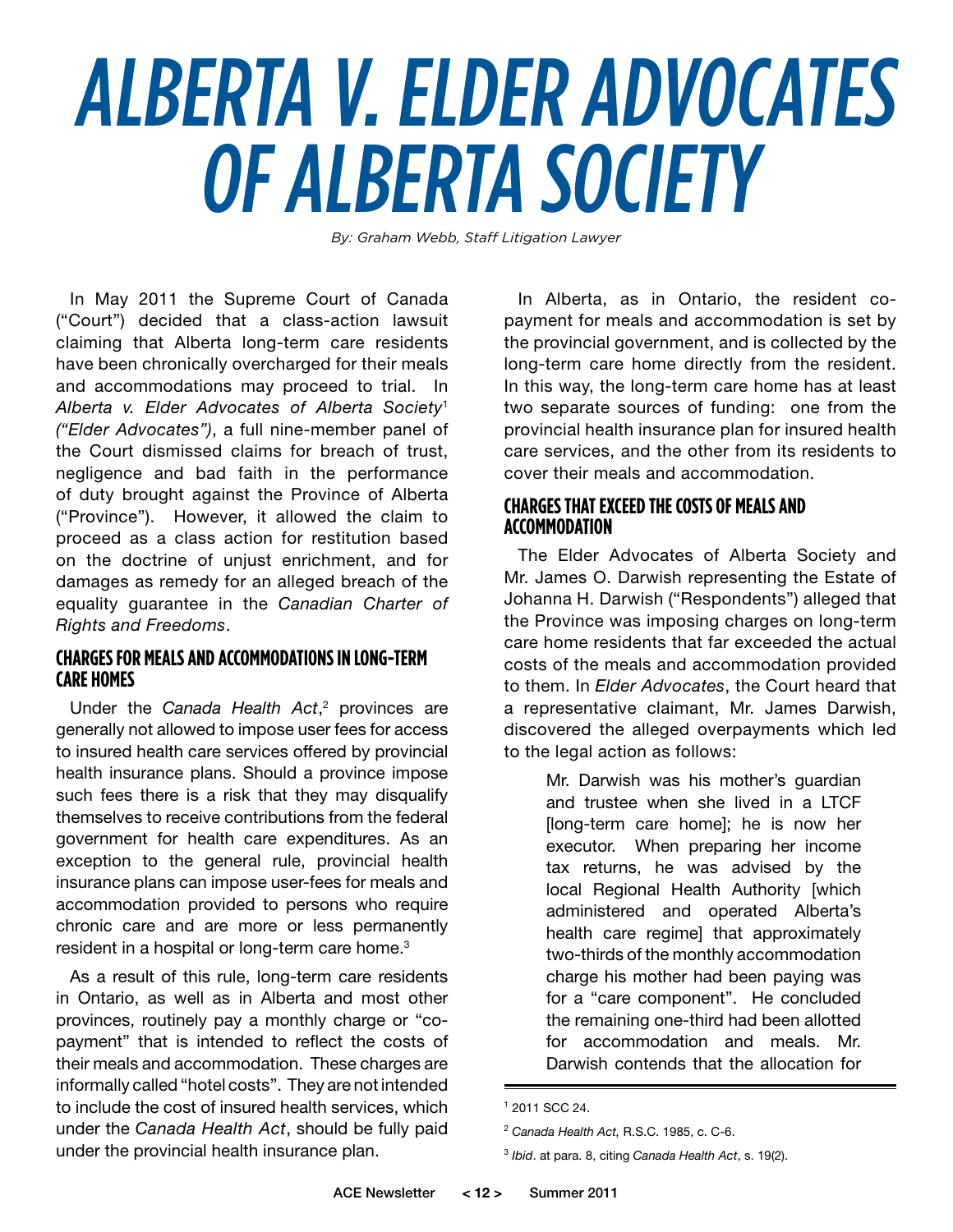# ALBERTA V. ELDER ADVOCATES OF ALBERTA SOCIETY

*By: Graham Webb, Staff Litigation Lawyer*

In May 2011 the Supreme Court of Canada ("Court") decided that a class-action lawsuit claiming that Alberta long-term care residents have been chronically overcharged for their meals and accommodations may proceed to trial. In *Alberta v. Elder Advocates of Alberta Society*<sup>1</sup> *("Elder Advocates")*, a full nine-member panel of the Court dismissed claims for breach of trust, negligence and bad faith in the performance of duty brought against the Province of Alberta ("Province"). However, it allowed the claim to proceed as a class action for restitution based on the doctrine of unjust enrichment, and for damages as remedy for an alleged breach of the equality guarantee in the *Canadian Charter of Rights and Freedoms*.

#### **Chargesfor Mealsand Accommodationsin Long-Term Care Homes**

Under the *Canada Health Act*,<sup>2</sup> provinces are generally not allowed to impose user fees for access to insured health care services offered by provincial health insurance plans. Should a province impose such fees there is a risk that they may disqualify themselves to receive contributions from the federal government for health care expenditures. As an exception to the general rule, provincial health insurance plans can impose user-fees for meals and accommodation provided to persons who require chronic care and are more or less permanently resident in a hospital or long-term care home. $3$ 

As a result of this rule, long-term care residents in Ontario, as well as in Alberta and most other provinces, routinely pay a monthly charge or "copayment" that is intended to reflect the costs of their meals and accommodation. These charges are informally called "hotel costs". They are not intended to include the cost of insured health services, which under the *Canada Health Act*, should be fully paid under the provincial health insurance plan.

In Alberta, as in Ontario, the resident copayment for meals and accommodation is set by the provincial government, and is collected by the long-term care home directly from the resident. In this way, the long-term care home has at least two separate sources of funding: one from the provincial health insurance plan for insured health care services, and the other from its residents to cover their meals and accommodation.

#### **Chargesthat Exceed the Costs of Mealsand Accommodation**

The Elder Advocates of Alberta Society and Mr. James O. Darwish representing the Estate of Johanna H. Darwish ("Respondents") alleged that the Province was imposing charges on long-term care home residents that far exceeded the actual costs of the meals and accommodation provided to them. In *Elder Advocates*, the Court heard that a representative claimant, Mr. James Darwish, discovered the alleged overpayments which led to the legal action as follows:

Mr. Darwish was his mother's guardian and trustee when she lived in a LTCF [long-term care home]; he is now her executor. When preparing her income tax returns, he was advised by the local Regional Health Authority [which administered and operated Alberta's health care regime] that approximately two-thirds of the monthly accommodation charge his mother had been paying was for a "care component". He concluded the remaining one-third had been allotted for accommodation and meals. Mr. Darwish contends that the allocation for

<sup>1</sup> 2011 SCC 24.

<sup>2</sup> *Canada Health Act,* R.S.C. 1985, c. C-6.

<sup>3</sup> *Ibid*. at para. 8, citing *Canada Health Act*, s. 19(2).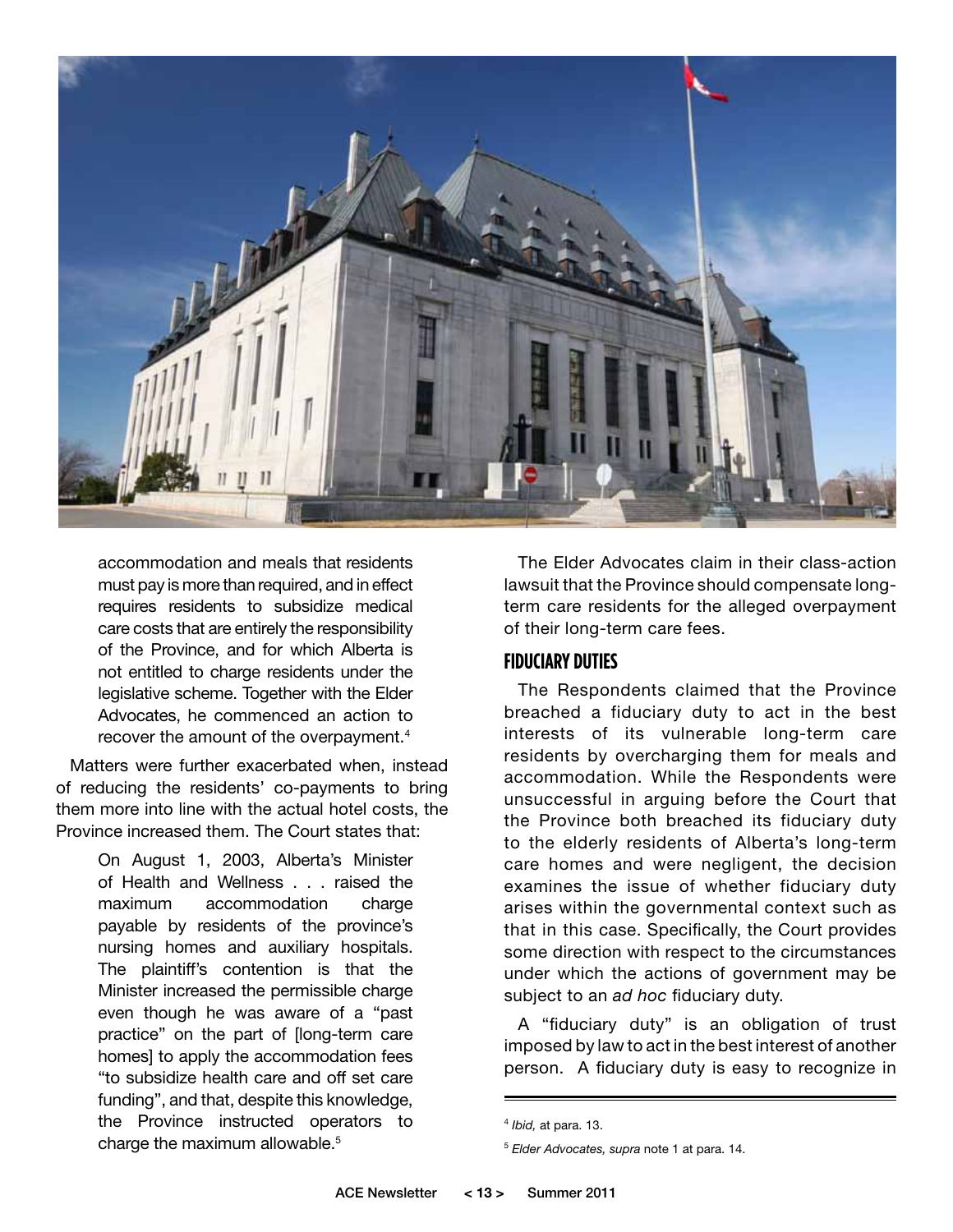

accommodation and meals that residents must pay is more than required, and in effect requires residents to subsidize medical care costs that are entirely the responsibility of the Province, and for which Alberta is not entitled to charge residents under the legislative scheme. Together with the Elder Advocates, he commenced an action to recover the amount of the overpayment.<sup>4</sup>

Matters were further exacerbated when, instead of reducing the residents' co-payments to bring them more into line with the actual hotel costs, the Province increased them. The Court states that:

> On August 1, 2003, Alberta's Minister of Health and Wellness . . . raised the maximum accommodation charge payable by residents of the province's nursing homes and auxiliary hospitals. The plaintiff's contention is that the Minister increased the permissible charge even though he was aware of a "past practice" on the part of [long-term care homes] to apply the accommodation fees "to subsidize health care and off set care funding", and that, despite this knowledge, the Province instructed operators to charge the maximum allowable.<sup>5</sup>

The Elder Advocates claim in their class-action lawsuit that the Province should compensate longterm care residents for the alleged overpayment of their long-term care fees.

#### **Fiduciary Duties**

The Respondents claimed that the Province breached a fiduciary duty to act in the best interests of its vulnerable long-term care residents by overcharging them for meals and accommodation. While the Respondents were unsuccessful in arguing before the Court that the Province both breached its fiduciary duty to the elderly residents of Alberta's long-term care homes and were negligent, the decision examines the issue of whether fiduciary duty arises within the governmental context such as that in this case. Specifically, the Court provides some direction with respect to the circumstances under which the actions of government may be subject to an *ad hoc* fiduciary duty.

A "fiduciary duty" is an obligation of trust imposed by law to act in the best interest of another person. A fiduciary duty is easy to recognize in

<sup>4</sup> *Ibid,* at para. 13.

<sup>5</sup> *Elder Advocates, supra* note 1 at para. 14.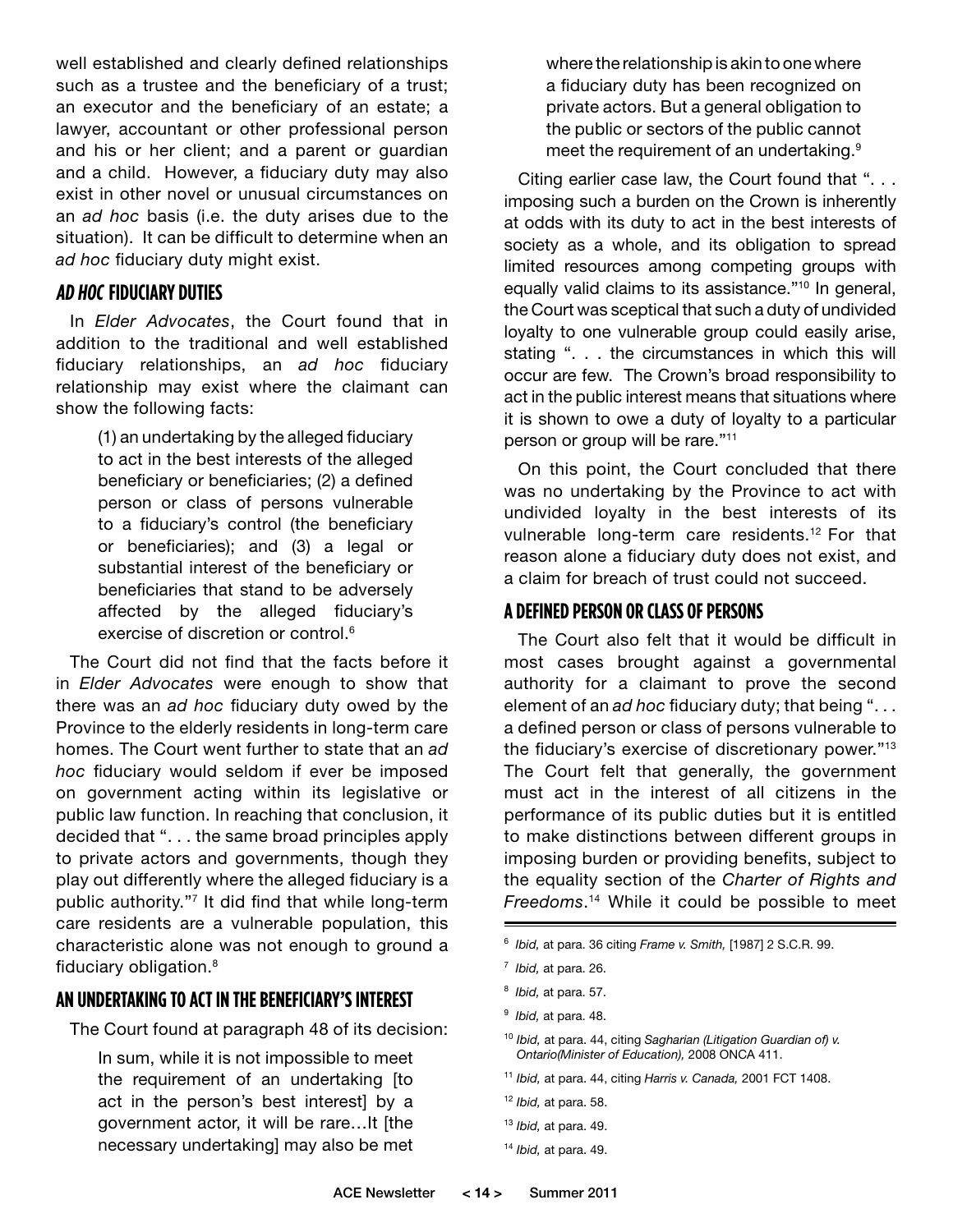well established and clearly defined relationships such as a trustee and the beneficiary of a trust; an executor and the beneficiary of an estate; a lawyer, accountant or other professional person and his or her client; and a parent or guardian and a child. However, a fiduciary duty may also exist in other novel or unusual circumstances on an *ad hoc* basis (i.e. the duty arises due to the situation). It can be difficult to determine when an *ad hoc* fiduciary duty might exist.

#### **Ad Hoc Fiduciary Duties**

In *Elder Advocates*, the Court found that in addition to the traditional and well established fiduciary relationships, an *ad hoc* fiduciary relationship may exist where the claimant can show the following facts:

> (1) an undertaking by the alleged fiduciary to act in the best interests of the alleged beneficiary or beneficiaries; (2) a defined person or class of persons vulnerable to a fiduciary's control (the beneficiary or beneficiaries); and (3) a legal or substantial interest of the beneficiary or beneficiaries that stand to be adversely affected by the alleged fiduciary's exercise of discretion or control.<sup>6</sup>

The Court did not find that the facts before it in *Elder Advocates* were enough to show that there was an *ad hoc* fiduciary duty owed by the Province to the elderly residents in long-term care homes. The Court went further to state that an *ad hoc* fiduciary would seldom if ever be imposed on government acting within its legislative or public law function. In reaching that conclusion, it decided that ". . . the same broad principles apply to private actors and governments, though they play out differently where the alleged fiduciary is a public authority."7 It did find that while long-term care residents are a vulnerable population, this characteristic alone was not enough to ground a fiduciary obligation.8

#### AN UNDERTAKING TO ACT IN THE BENEFICIARY'S INTEREST

The Court found at paragraph 48 of its decision:

In sum, while it is not impossible to meet the requirement of an undertaking [to act in the person's best interest] by a government actor, it will be rare…It [the necessary undertaking] may also be met where the relationship is akin to one where a fiduciary duty has been recognized on private actors. But a general obligation to the public or sectors of the public cannot meet the requirement of an undertaking.<sup>9</sup>

Citing earlier case law, the Court found that ". . . imposing such a burden on the Crown is inherently at odds with its duty to act in the best interests of society as a whole, and its obligation to spread limited resources among competing groups with equally valid claims to its assistance."10 In general, the Court was sceptical that such a duty of undivided loyalty to one vulnerable group could easily arise, stating ". . . the circumstances in which this will occur are few. The Crown's broad responsibility to act in the public interest means that situations where it is shown to owe a duty of loyalty to a particular person or group will be rare."11

On this point, the Court concluded that there was no undertaking by the Province to act with undivided loyalty in the best interests of its vulnerable long-term care residents.12 For that reason alone a fiduciary duty does not exist, and a claim for breach of trust could not succeed.

#### **A Defined Person or Class of Persons**

The Court also felt that it would be difficult in most cases brought against a governmental authority for a claimant to prove the second element of an *ad hoc* fiduciary duty; that being ". . . a defined person or class of persons vulnerable to the fiduciary's exercise of discretionary power."<sup>13</sup> The Court felt that generally, the government must act in the interest of all citizens in the performance of its public duties but it is entitled to make distinctions between different groups in imposing burden or providing benefits, subject to the equality section of the *Charter of Rights and Freedoms*. 14 While it could be possible to meet

- 8 *Ibid,* at para. 57.
- 9 *Ibid,* at para. 48.
- <sup>10</sup> *Ibid,* at para. 44, citing *Sagharian (Litigation Guardian of) v. Ontario(Minister of Education),* 2008 ONCA 411.
- <sup>11</sup> *Ibid,* at para. 44, citing *Harris v. Canada,* 2001 FCT 1408.
- <sup>12</sup> *Ibid,* at para. 58.
- <sup>13</sup> *Ibid,* at para. 49.
- <sup>14</sup> *Ibid,* at para. 49.

<sup>6</sup> *Ibid,* at para. 36 citing *Frame v. Smith,* [1987] 2 S.C.R. 99.

<sup>7</sup> *Ibid,* at para. 26.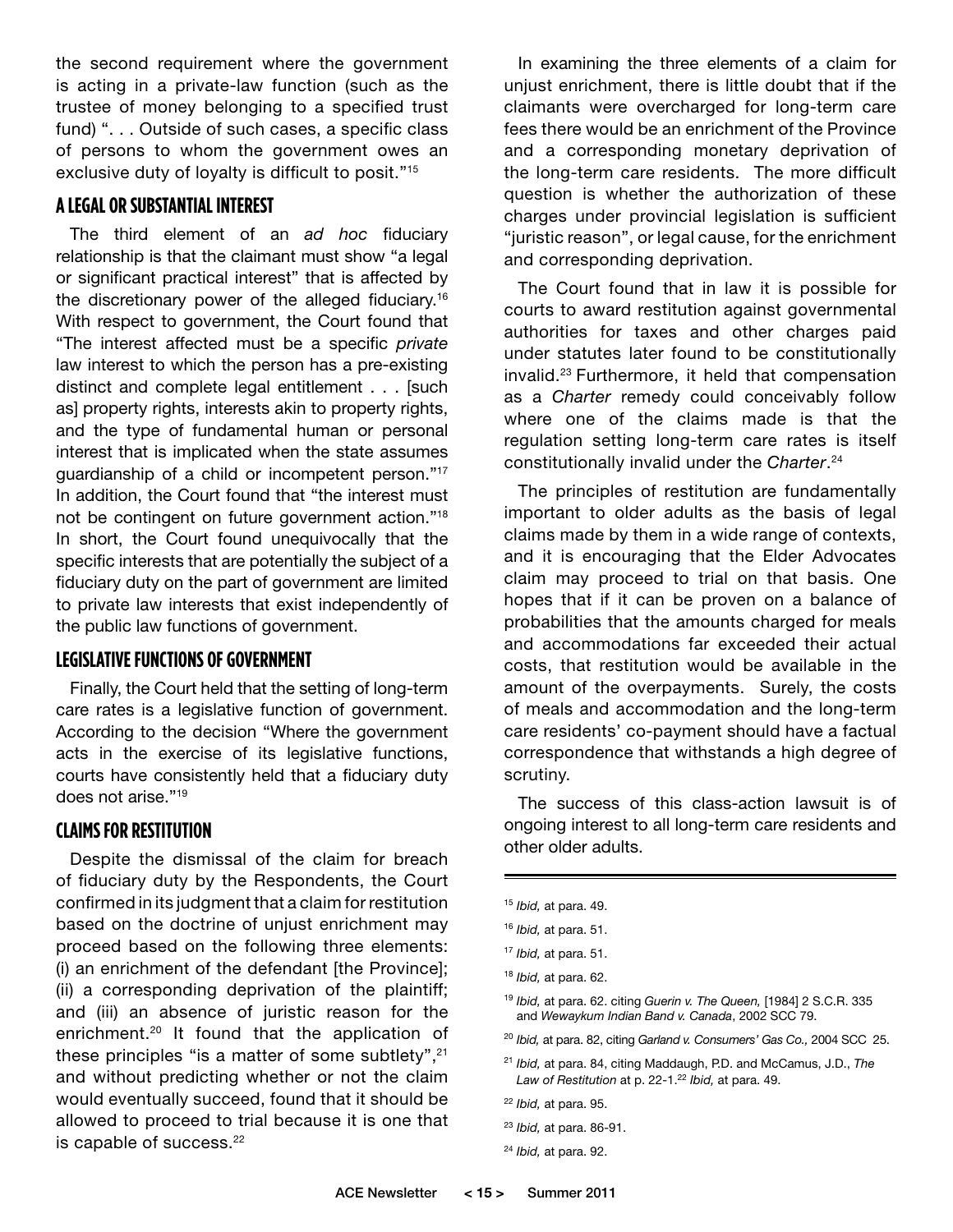the second requirement where the government is acting in a private-law function (such as the trustee of money belonging to a specified trust fund) ". . . Outside of such cases, a specific class of persons to whom the government owes an exclusive duty of loyalty is difficult to posit."15

#### **A Legal or Substantial Interest**

The third element of an *ad hoc* fiduciary relationship is that the claimant must show "a legal or significant practical interest" that is affected by the discretionary power of the alleged fiduciary.16 With respect to government, the Court found that "The interest affected must be a specific *private*  law interest to which the person has a pre-existing distinct and complete legal entitlement . . . [such as] property rights, interests akin to property rights, and the type of fundamental human or personal interest that is implicated when the state assumes guardianship of a child or incompetent person."17 In addition, the Court found that "the interest must not be contingent on future government action."18 In short, the Court found unequivocally that the specific interests that are potentially the subject of a fiduciary duty on the part of government are limited to private law interests that exist independently of the public law functions of government.

#### **Legislative Functions of Government**

Finally, the Court held that the setting of long-term care rates is a legislative function of government. According to the decision "Where the government acts in the exercise of its legislative functions, courts have consistently held that a fiduciary duty does not arise."19

#### **Claimsfor Restitution**

Despite the dismissal of the claim for breach of fiduciary duty by the Respondents, the Court confirmed in its judgment that a claim for restitution based on the doctrine of unjust enrichment may proceed based on the following three elements: (i) an enrichment of the defendant [the Province]; (ii) a corresponding deprivation of the plaintiff; and (iii) an absence of juristic reason for the enrichment.20 It found that the application of these principles "is a matter of some subtlety",<sup>21</sup> and without predicting whether or not the claim would eventually succeed, found that it should be allowed to proceed to trial because it is one that is capable of success.<sup>22</sup>

In examining the three elements of a claim for unjust enrichment, there is little doubt that if the claimants were overcharged for long-term care fees there would be an enrichment of the Province and a corresponding monetary deprivation of the long-term care residents. The more difficult question is whether the authorization of these charges under provincial legislation is sufficient "juristic reason", or legal cause, for the enrichment and corresponding deprivation.

The Court found that in law it is possible for courts to award restitution against governmental authorities for taxes and other charges paid under statutes later found to be constitutionally invalid.23 Furthermore, it held that compensation as a *Charter* remedy could conceivably follow where one of the claims made is that the regulation setting long-term care rates is itself constitutionally invalid under the *Charter*. 24

The principles of restitution are fundamentally important to older adults as the basis of legal claims made by them in a wide range of contexts, and it is encouraging that the Elder Advocates claim may proceed to trial on that basis. One hopes that if it can be proven on a balance of probabilities that the amounts charged for meals and accommodations far exceeded their actual costs, that restitution would be available in the amount of the overpayments. Surely, the costs of meals and accommodation and the long-term care residents' co-payment should have a factual correspondence that withstands a high degree of scrutiny.

The success of this class-action lawsuit is of ongoing interest to all long-term care residents and other older adults.

<sup>15</sup> *Ibid,* at para. 49.

<sup>16</sup> *Ibid,* at para. 51.

<sup>17</sup> *Ibid,* at para. 51.

<sup>18</sup> *Ibid,* at para. 62.

<sup>19</sup> *Ibid,* at para. 62. citing *Guerin v. The Queen,* [1984] 2 S.C.R. 335 and *Wewaykum Indian Band v. Canada*, 2002 SCC 79.

<sup>20</sup> *Ibid,* at para. 82, citing *Garland v. Consumers' Gas Co.,* 2004 SCC 25.

<sup>21</sup> *Ibid,* at para. 84, citing Maddaugh, P.D. and McCamus, J.D., *The*  Law of Restitution at p. 22-1.<sup>22</sup> Ibid, at para. 49.

<sup>22</sup> *Ibid,* at para. 95.

<sup>23</sup> *Ibid,* at para. 86-91.

<sup>24</sup> *Ibid,* at para. 92.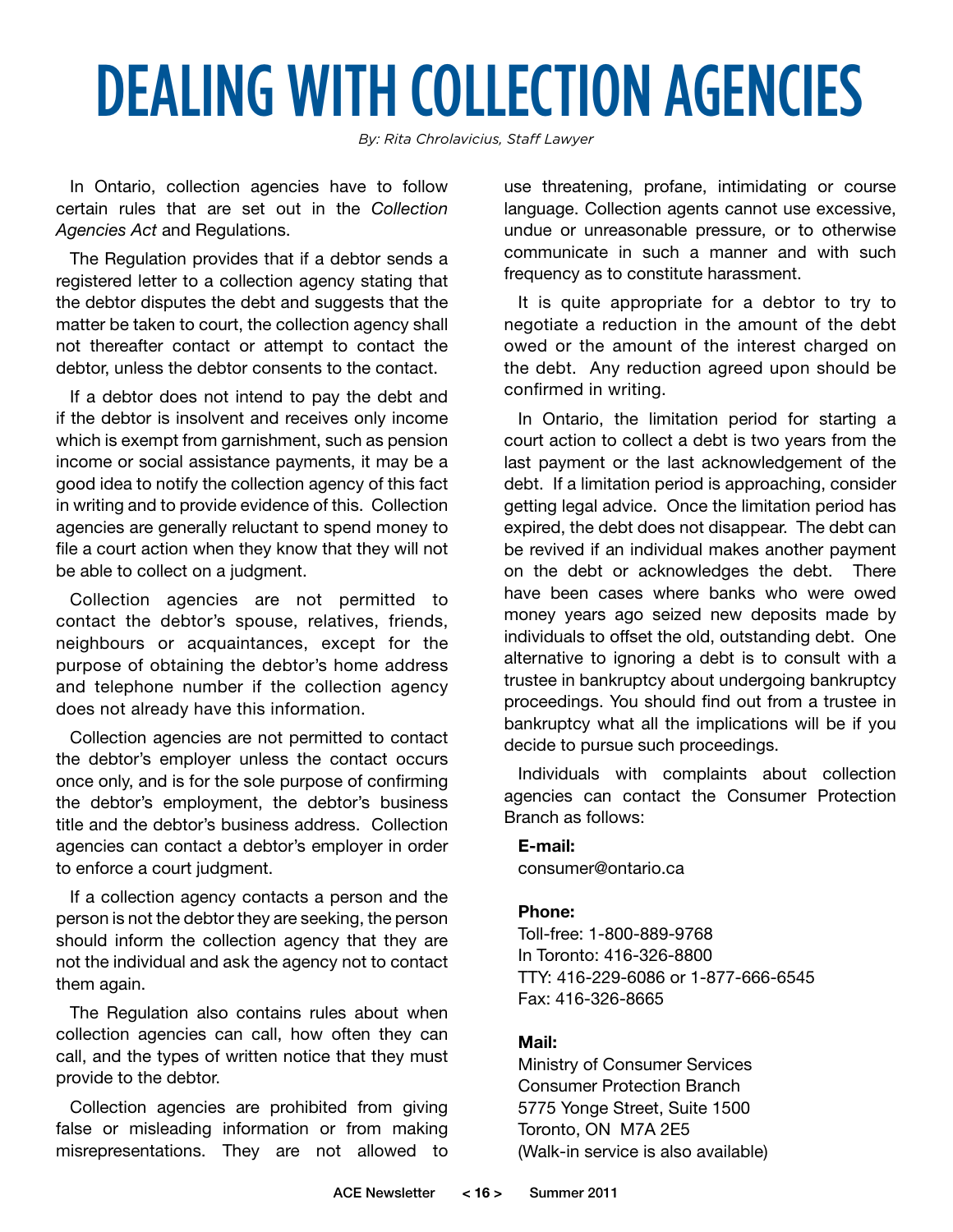# DEALING WITH COLLECTION AGENCIES

*By: Rita Chrolavicius, Staff Lawyer*

In Ontario, collection agencies have to follow certain rules that are set out in the *Collection Agencies Act* and Regulations.

The Regulation provides that if a debtor sends a registered letter to a collection agency stating that the debtor disputes the debt and suggests that the matter be taken to court, the collection agency shall not thereafter contact or attempt to contact the debtor, unless the debtor consents to the contact.

If a debtor does not intend to pay the debt and if the debtor is insolvent and receives only income which is exempt from garnishment, such as pension income or social assistance payments, it may be a good idea to notify the collection agency of this fact in writing and to provide evidence of this. Collection agencies are generally reluctant to spend money to file a court action when they know that they will not be able to collect on a judgment.

Collection agencies are not permitted to contact the debtor's spouse, relatives, friends, neighbours or acquaintances, except for the purpose of obtaining the debtor's home address and telephone number if the collection agency does not already have this information.

Collection agencies are not permitted to contact the debtor's employer unless the contact occurs once only, and is for the sole purpose of confirming the debtor's employment, the debtor's business title and the debtor's business address. Collection agencies can contact a debtor's employer in order to enforce a court judgment.

If a collection agency contacts a person and the person is not the debtor they are seeking, the person should inform the collection agency that they are not the individual and ask the agency not to contact them again.

The Regulation also contains rules about when collection agencies can call, how often they can call, and the types of written notice that they must provide to the debtor.

Collection agencies are prohibited from giving false or misleading information or from making misrepresentations. They are not allowed to use threatening, profane, intimidating or course language. Collection agents cannot use excessive, undue or unreasonable pressure, or to otherwise communicate in such a manner and with such frequency as to constitute harassment.

It is quite appropriate for a debtor to try to negotiate a reduction in the amount of the debt owed or the amount of the interest charged on the debt. Any reduction agreed upon should be confirmed in writing.

In Ontario, the limitation period for starting a court action to collect a debt is two years from the last payment or the last acknowledgement of the debt. If a limitation period is approaching, consider getting legal advice. Once the limitation period has expired, the debt does not disappear. The debt can be revived if an individual makes another payment on the debt or acknowledges the debt. There have been cases where banks who were owed money years ago seized new deposits made by individuals to offset the old, outstanding debt. One alternative to ignoring a debt is to consult with a trustee in bankruptcy about undergoing bankruptcy proceedings. You should find out from a trustee in bankruptcy what all the implications will be if you decide to pursue such proceedings.

Individuals with complaints about collection agencies can contact the Consumer Protection Branch as follows:

#### **E-mail:**

consumer@ontario.ca

#### **Phone:**

Toll-free: 1-800-889-9768 In Toronto: 416-326-8800 TTY: 416-229-6086 or 1-877-666-6545 Fax: 416-326-8665

#### **Mail:**

Ministry of Consumer Services Consumer Protection Branch 5775 Yonge Street, Suite 1500 Toronto, ON M7A 2E5 (Walk-in service is also available)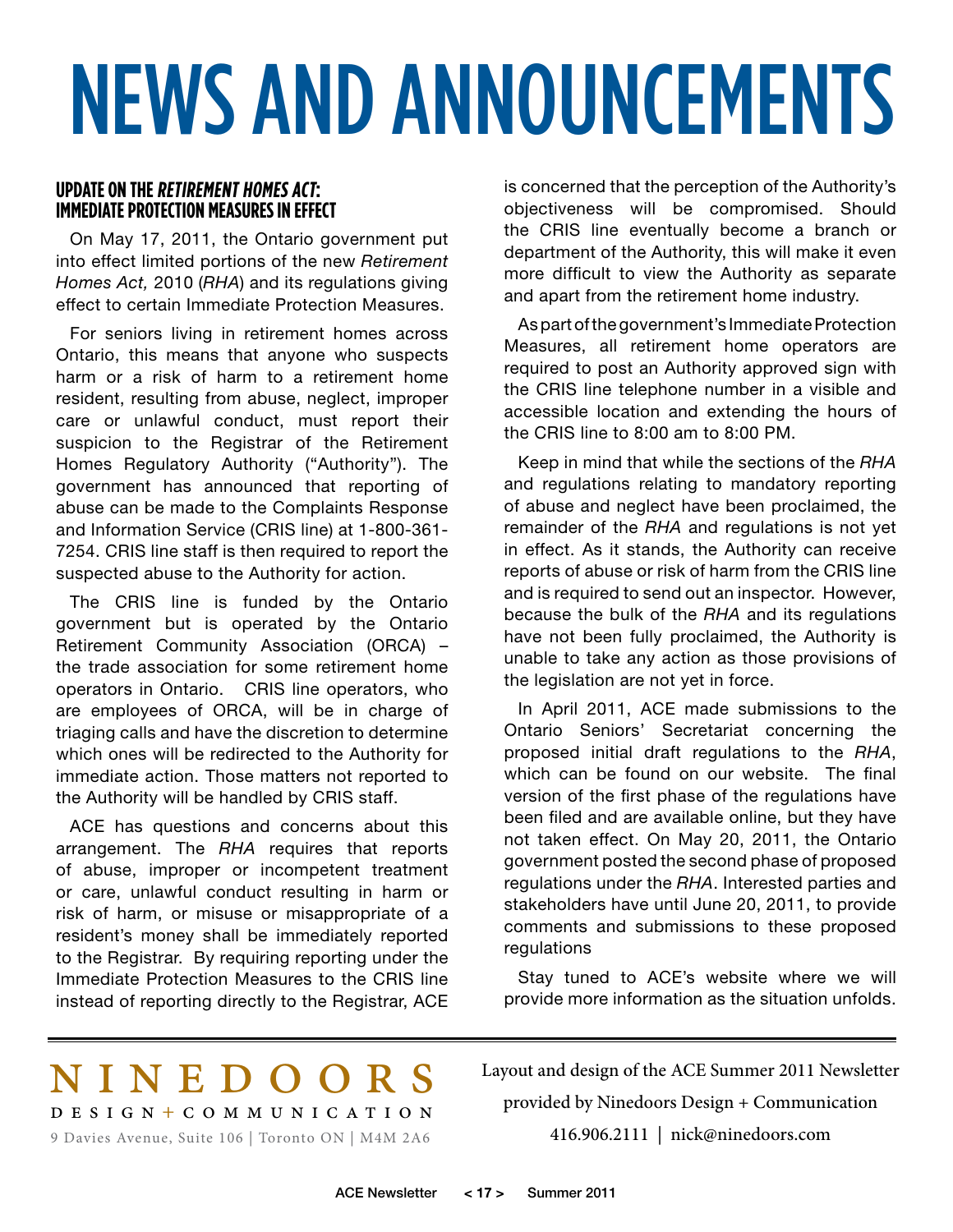# NEWS AND ANNOUNCEMENTS

#### **UPDATE ON THE RETIREMENT HOMES ACT: Immediate Protection Measuresin Effect**

On May 17, 2011, the Ontario government put into effect limited portions of the new *Retirement Homes Act,* 2010 (*RHA*) and its regulations giving effect to certain Immediate Protection Measures.

For seniors living in retirement homes across Ontario, this means that anyone who suspects harm or a risk of harm to a retirement home resident, resulting from abuse, neglect, improper care or unlawful conduct, must report their suspicion to the Registrar of the Retirement Homes Regulatory Authority ("Authority"). The government has announced that reporting of abuse can be made to the Complaints Response and Information Service (CRIS line) at 1-800-361- 7254. CRIS line staff is then required to report the suspected abuse to the Authority for action.

The CRIS line is funded by the Ontario government but is operated by the Ontario Retirement Community Association (ORCA) – the trade association for some retirement home operators in Ontario. CRIS line operators, who are employees of ORCA, will be in charge of triaging calls and have the discretion to determine which ones will be redirected to the Authority for immediate action. Those matters not reported to the Authority will be handled by CRIS staff.

ACE has questions and concerns about this arrangement. The *RHA* requires that reports of abuse, improper or incompetent treatment or care, unlawful conduct resulting in harm or risk of harm, or misuse or misappropriate of a resident's money shall be immediately reported to the Registrar. By requiring reporting under the Immediate Protection Measures to the CRIS line instead of reporting directly to the Registrar, ACE

is concerned that the perception of the Authority's objectiveness will be compromised. Should the CRIS line eventually become a branch or department of the Authority, this will make it even more difficult to view the Authority as separate and apart from the retirement home industry.

As part of the government's Immediate Protection Measures, all retirement home operators are required to post an Authority approved sign with the CRIS line telephone number in a visible and accessible location and extending the hours of the CRIS line to 8:00 am to 8:00 PM.

Keep in mind that while the sections of the *RHA* and regulations relating to mandatory reporting of abuse and neglect have been proclaimed, the remainder of the *RHA* and regulations is not yet in effect. As it stands, the Authority can receive reports of abuse or risk of harm from the CRIS line and is required to send out an inspector. However, because the bulk of the *RHA* and its regulations have not been fully proclaimed, the Authority is unable to take any action as those provisions of the legislation are not yet in force.

In April 2011, ACE made submissions to the Ontario Seniors' Secretariat concerning the proposed initial draft regulations to the *RHA*, which can be found on our website. The final version of the first phase of the regulations have been filed and are available online, but they have not taken effect. On May 20, 2011, the Ontario government posted the second phase of proposed regulations under the *RHA*. Interested parties and stakeholders have until June 20, 2011, to provide comments and submissions to these proposed regulations

Stay tuned to ACE's website where we will provide more information as the situation unfolds.

### nine doo r s

9 Davies Avenue, Suite 106 | Toronto ON | M4M 2A6 design + c ommunica tio n Layout and design of the ACE Summer 2011 Newsletter provided by Ninedoors Design + Communication 416.906.2111 | nick@ninedoors.com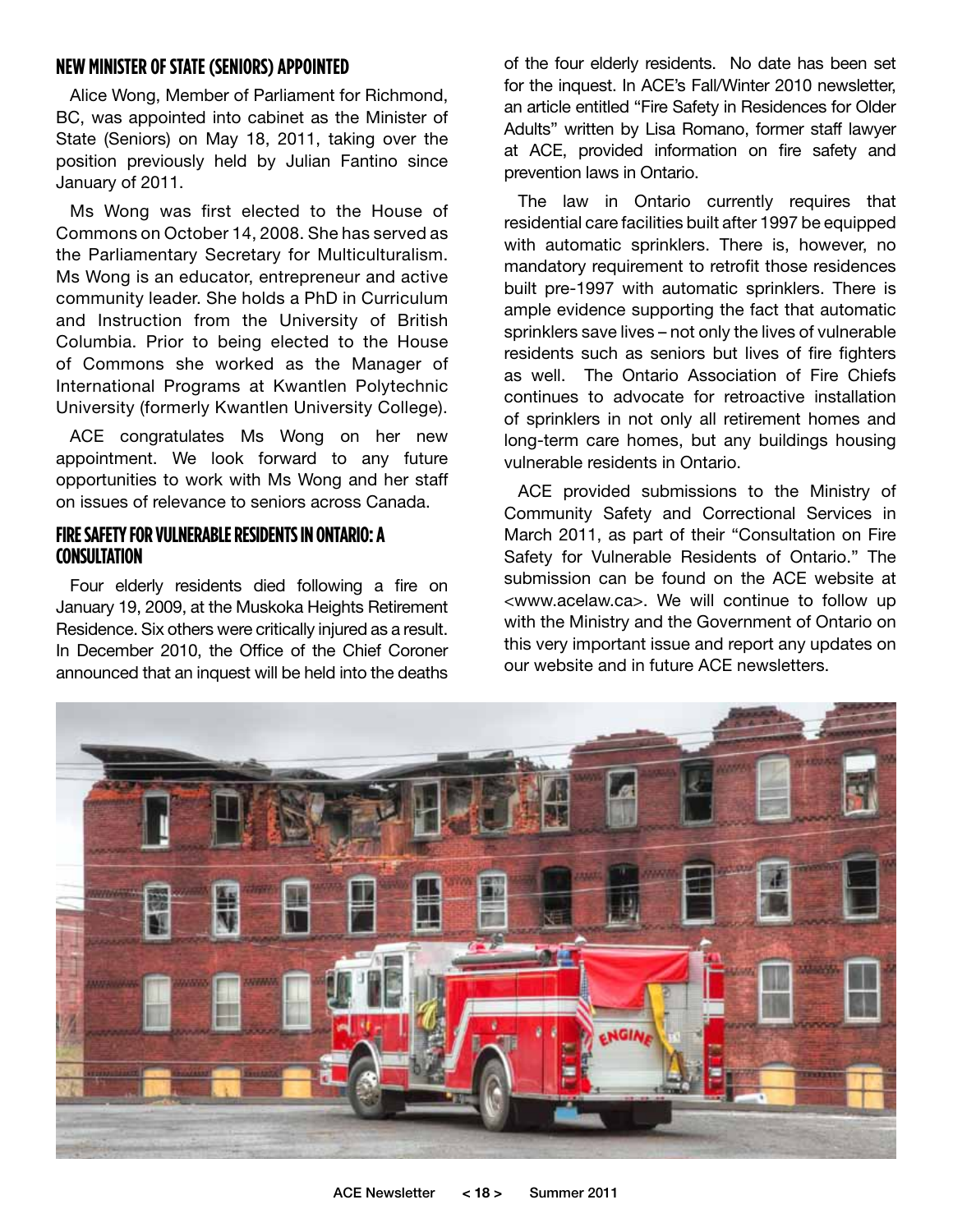#### **NEW MINISTER OF STATE (SENIORS) APPOINTED**

Alice Wong, Member of Parliament for Richmond, BC, was appointed into cabinet as the Minister of State (Seniors) on May 18, 2011, taking over the position previously held by Julian Fantino since January of 2011.

Ms Wong was first elected to the House of Commons on October 14, 2008. She has served as the Parliamentary Secretary for Multiculturalism. Ms Wong is an educator, entrepreneur and active community leader. She holds a PhD in Curriculum and Instruction from the University of British Columbia. Prior to being elected to the House of Commons she worked as the Manager of International Programs at Kwantlen Polytechnic University (formerly Kwantlen University College).

ACE congratulates Ms Wong on her new appointment. We look forward to any future opportunities to work with Ms Wong and her staff on issues of relevance to seniors across Canada.

#### **FIRE SAFETY FOR VULNERABLE RESIDENTS IN ONTARIO: A CONSULTATION**

Four elderly residents died following a fire on January 19, 2009, at the Muskoka Heights Retirement Residence. Six others were critically injured as a result. In December 2010, the Office of the Chief Coroner announced that an inquest will be held into the deaths

of the four elderly residents. No date has been set for the inquest. In ACE's Fall/Winter 2010 newsletter, an article entitled "Fire Safety in Residences for Older Adults" written by Lisa Romano, former staff lawyer at ACE, provided information on fire safety and prevention laws in Ontario.

The law in Ontario currently requires that residential care facilities built after 1997 be equipped with automatic sprinklers. There is, however, no mandatory requirement to retrofit those residences built pre-1997 with automatic sprinklers. There is ample evidence supporting the fact that automatic sprinklers save lives – not only the lives of vulnerable residents such as seniors but lives of fire fighters as well. The Ontario Association of Fire Chiefs continues to advocate for retroactive installation of sprinklers in not only all retirement homes and long-term care homes, but any buildings housing vulnerable residents in Ontario.

ACE provided submissions to the Ministry of Community Safety and Correctional Services in March 2011, as part of their "Consultation on Fire Safety for Vulnerable Residents of Ontario." The submission can be found on the ACE website at <www.acelaw.ca>. We will continue to follow up with the Ministry and the Government of Ontario on this very important issue and report any updates on our website and in future ACE newsletters.

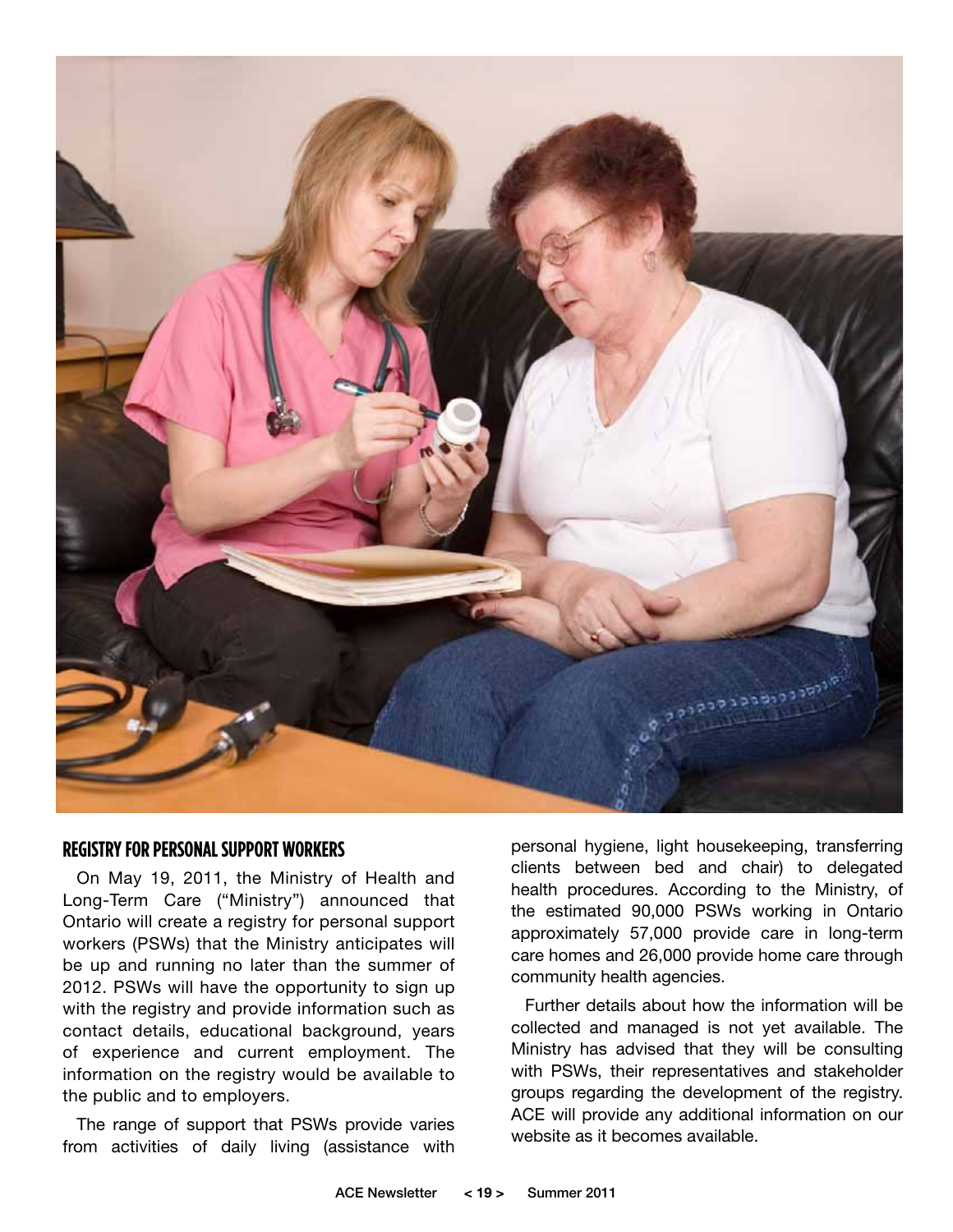

#### **REGISTRY FOR PERSONAL SUPPORT WORKERS**

On May 19, 2011, the Ministry of Health and Long-Term Care ("Ministry") announced that Ontario will create a registry for personal support workers (PSWs) that the Ministry anticipates will be up and running no later than the summer of 2012. PSWs will have the opportunity to sign up with the registry and provide information such as contact details, educational background, years of experience and current employment. The information on the registry would be available to the public and to employers.

The range of support that PSWs provide varies from activities of daily living (assistance with

personal hygiene, light housekeeping, transferring clients between bed and chair) to delegated health procedures. According to the Ministry, of the estimated 90,000 PSWs working in Ontario approximately 57,000 provide care in long-term care homes and 26,000 provide home care through community health agencies.

Further details about how the information will be collected and managed is not yet available. The Ministry has advised that they will be consulting with PSWs, their representatives and stakeholder groups regarding the development of the registry. ACE will provide any additional information on our website as it becomes available.